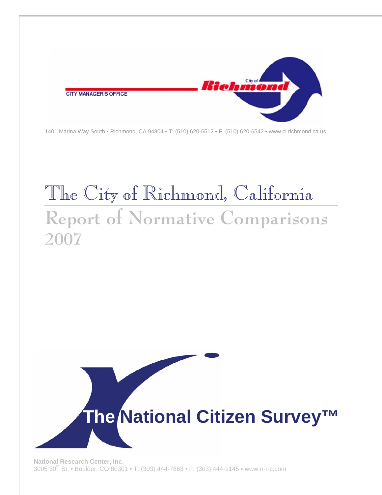

1401 Marina Way South • Richmond, CA 94804 • T: (510) 620-6512 • F: (510) 620-6542 • www.ci.richmond.ca.us

# The City of Richmond, California **Report of Normative Comparisons 2007**

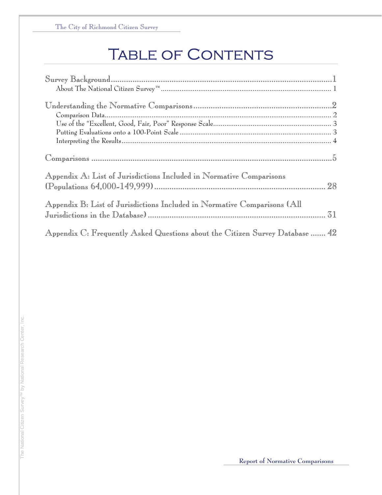# TABLE OF CONTENTS

| Appendix A: List of Jurisdictions Included in Normative Comparisons          |
|------------------------------------------------------------------------------|
| Appendix B: List of Jurisdictions Included in Normative Comparisons (All     |
| Appendix C: Frequently Asked Questions about the Citizen Survey Database  42 |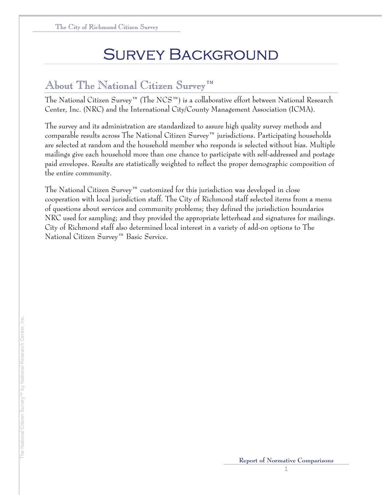# Survey Background

# About The National Citizen Survey™

The National Citizen Survey™ (The NCS™) is a collaborative effort between National Research Center, Inc. (NRC) and the International City/County Management Association (ICMA).

The survey and its administration are standardized to assure high quality survey methods and comparable results across The National Citizen Survey™ jurisdictions. Participating households are selected at random and the household member who responds is selected without bias. Multiple mailings give each household more than one chance to participate with self-addressed and postage paid envelopes. Results are statistically weighted to reflect the proper demographic composition of the entire community.

The National Citizen Survey™ customized for this jurisdiction was developed in close cooperation with local jurisdiction staff. The City of Richmond staff selected items from a menu of questions about services and community problems; they defined the jurisdiction boundaries NRC used for sampling; and they provided the appropriate letterhead and signatures for mailings. City of Richmond staff also determined local interest in a variety of add-on options to The National Citizen Survey™ Basic Service.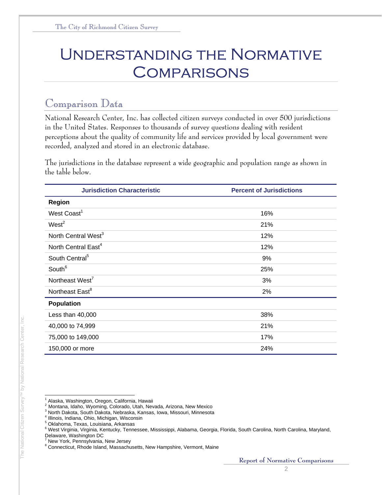# Understanding the Normative **COMPARISONS**

# Comparison Data

National Research Center, Inc. has collected citizen surveys conducted in over 500 jurisdictions in the United States. Responses to thousands of survey questions dealing with resident perceptions about the quality of community life and services provided by local government were recorded, analyzed and stored in an electronic database.

The jurisdictions in the database represent a wide geographic and population range as shown in the table below.

| <b>Jurisdiction Characteristic</b> | <b>Percent of Jurisdictions</b> |
|------------------------------------|---------------------------------|
| Region                             |                                 |
| West Coast <sup>1</sup>            | 16%                             |
| West <sup>2</sup>                  | 21%                             |
| North Central West <sup>3</sup>    | 12%                             |
| North Central East <sup>4</sup>    | 12%                             |
| South Central <sup>5</sup>         | 9%                              |
| South <sup>6</sup>                 | 25%                             |
| Northeast West <sup>7</sup>        | 3%                              |
| Northeast East <sup>8</sup>        | 2%                              |
| <b>Population</b>                  |                                 |
| Less than 40,000                   | 38%                             |
| 40,000 to 74,999                   | 21%                             |
| 75,000 to 149,000                  | 17%                             |
| 150,000 or more                    | 24%                             |

l <sup>1</sup> Alaska, Washington, Oregon, California, Hawaii

<sup>&</sup>lt;sup>2</sup> Montana, Idaho, Wyoming, Colorado, Utah, Nevada, Arizona, New Mexico

<sup>&</sup>lt;sup>3</sup> North Dakota, South Dakota, Nebraska, Kansas, Iowa, Missouri, Minnesota

<sup>4</sup> Illinois, Indiana, Ohio, Michigan, Wisconsin

<sup>5</sup> Oklahoma, Texas, Louisiana, Arkansas

 $^6$  West Virginia, Virginia, Kentucky, Tennessee, Mississippi, Alabama, Georgia, Florida, South Carolina, North Carolina, Maryland, Delaware, Washington DC

<sup>7</sup> New York, Pennsylvania, New Jersey

<sup>&</sup>lt;sup>8</sup> Connecticut, Rhode Island, Massachusetts, New Hampshire, Vermont, Maine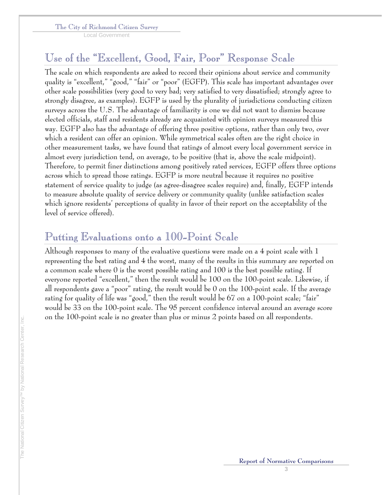Local Government

# Use of the "Excellent, Good, Fair, Poor" Response Scale

The scale on which respondents are asked to record their opinions about service and community quality is "excellent," "good," "fair" or "poor" (EGFP). This scale has important advantages over other scale possibilities (very good to very bad; very satisfied to very dissatisfied; strongly agree to strongly disagree, as examples). EGFP is used by the plurality of jurisdictions conducting citizen surveys across the U.S. The advantage of familiarity is one we did not want to dismiss because elected officials, staff and residents already are acquainted with opinion surveys measured this way. EGFP also has the advantage of offering three positive options, rather than only two, over which a resident can offer an opinion. While symmetrical scales often are the right choice in other measurement tasks, we have found that ratings of almost every local government service in almost every jurisdiction tend, on average, to be positive (that is, above the scale midpoint). Therefore, to permit finer distinctions among positively rated services, EGFP offers three options across which to spread those ratings. EGFP is more neutral because it requires no positive statement of service quality to judge (as agree-disagree scales require) and, finally, EGFP intends to measure absolute quality of service delivery or community quality (unlike satisfaction scales which ignore residents' perceptions of quality in favor of their report on the acceptability of the level of service offered).

# Putting Evaluations onto a 100-Point Scale

Although responses to many of the evaluative questions were made on a 4 point scale with 1 representing the best rating and 4 the worst, many of the results in this summary are reported on a common scale where 0 is the worst possible rating and 100 is the best possible rating. If everyone reported "excellent," then the result would be 100 on the 100-point scale. Likewise, if all respondents gave a "poor" rating, the result would be 0 on the 100-point scale. If the average rating for quality of life was "good," then the result would be 67 on a 100-point scale; "fair" would be 33 on the 100-point scale. The 95 percent confidence interval around an average score on the 100-point scale is no greater than plus or minus 2 points based on all respondents.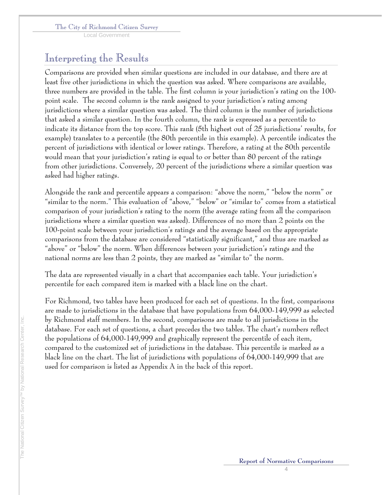Local Government

# Interpreting the Results

Comparisons are provided when similar questions are included in our database, and there are at least five other jurisdictions in which the question was asked. Where comparisons are available, three numbers are provided in the table. The first column is your jurisdiction's rating on the 100 point scale. The second column is the rank assigned to your jurisdiction's rating among jurisdictions where a similar question was asked. The third column is the number of jurisdictions that asked a similar question. In the fourth column, the rank is expressed as a percentile to indicate its distance from the top score. This rank (5th highest out of 25 jurisdictions' results, for example) translates to a percentile (the 80th percentile in this example). A percentile indicates the percent of jurisdictions with identical or lower ratings. Therefore, a rating at the 80th percentile would mean that your jurisdiction's rating is equal to or better than 80 percent of the ratings from other jurisdictions. Conversely, 20 percent of the jurisdictions where a similar question was asked had higher ratings.

Alongside the rank and percentile appears a comparison: "above the norm," "below the norm" or "similar to the norm." This evaluation of "above," "below" or "similar to" comes from a statistical comparison of your jurisdiction's rating to the norm (the average rating from all the comparison jurisdictions where a similar question was asked). Differences of no more than 2 points on the 100-point scale between your jurisdiction's ratings and the average based on the appropriate comparisons from the database are considered "statistically significant," and thus are marked as "above" or "below" the norm. When differences between your jurisdiction's ratings and the national norms are less than 2 points, they are marked as "similar to" the norm.

The data are represented visually in a chart that accompanies each table. Your jurisdiction's percentile for each compared item is marked with a black line on the chart.

For Richmond, two tables have been produced for each set of questions. In the first, comparisons are made to jurisdictions in the database that have populations from 64,000-149,999 as selected by Richmond staff members. In the second, comparisons are made to all jurisdictions in the database. For each set of questions, a chart precedes the two tables. The chart's numbers reflect the populations of 64,000-149,999 and graphically represent the percentile of each item, compared to the customized set of jurisdictions in the database. This percentile is marked as a black line on the chart. The list of jurisdictions with populations of 64,000-149,999 that are used for comparison is listed as Appendix A in the back of this report.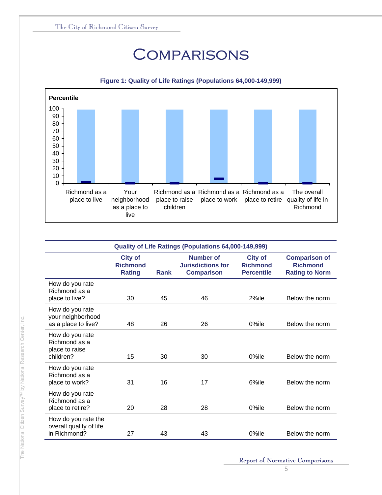# **COMPARISONS**



#### **Figure 1: Quality of Life Ratings (Populations 64,000-149,999)**

| Quality of Life Ratings (Populations 64,000-149,999)            |                                                    |             |                                                            |                                                        |                                                                  |  |
|-----------------------------------------------------------------|----------------------------------------------------|-------------|------------------------------------------------------------|--------------------------------------------------------|------------------------------------------------------------------|--|
|                                                                 | <b>City of</b><br><b>Richmond</b><br><b>Rating</b> | <b>Rank</b> | Number of<br><b>Jurisdictions for</b><br><b>Comparison</b> | <b>City of</b><br><b>Richmond</b><br><b>Percentile</b> | <b>Comparison of</b><br><b>Richmond</b><br><b>Rating to Norm</b> |  |
| How do you rate<br>Richmond as a<br>place to live?              | 30                                                 | 45          | 46                                                         | 2%ile                                                  | Below the norm                                                   |  |
| How do you rate<br>your neighborhood<br>as a place to live?     | 48                                                 | 26          | 26                                                         | 0%ile                                                  | Below the norm                                                   |  |
| How do you rate<br>Richmond as a<br>place to raise<br>children? | 15                                                 | 30          | 30                                                         | $0\%$ ile                                              | Below the norm                                                   |  |
| How do you rate<br>Richmond as a<br>place to work?              | 31                                                 | 16          | 17                                                         | 6%ile                                                  | Below the norm                                                   |  |
| How do you rate<br>Richmond as a<br>place to retire?            | 20                                                 | 28          | 28                                                         | $0\%$ ile                                              | Below the norm                                                   |  |
| How do you rate the<br>overall quality of life<br>in Richmond?  | 27                                                 | 43          | 43                                                         | $0\%$ ile                                              | Below the norm                                                   |  |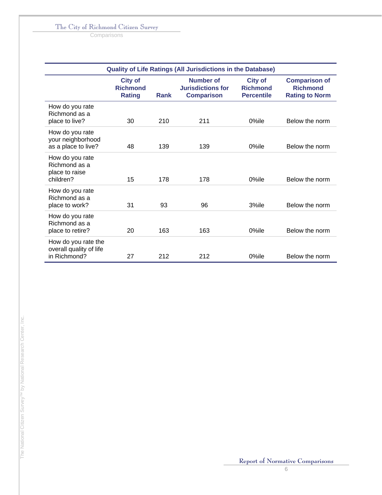**Comparisons** 

|                                                                 | <b>Quality of Life Ratings (All Jurisdictions in the Database)</b> |             |                                                                   |                                                        |                                                                  |  |
|-----------------------------------------------------------------|--------------------------------------------------------------------|-------------|-------------------------------------------------------------------|--------------------------------------------------------|------------------------------------------------------------------|--|
|                                                                 | <b>City of</b><br><b>Richmond</b><br><b>Rating</b>                 | <b>Rank</b> | <b>Number of</b><br><b>Jurisdictions for</b><br><b>Comparison</b> | <b>City of</b><br><b>Richmond</b><br><b>Percentile</b> | <b>Comparison of</b><br><b>Richmond</b><br><b>Rating to Norm</b> |  |
| How do you rate<br>Richmond as a<br>place to live?              | 30                                                                 | 210         | 211                                                               | 0%ile                                                  | Below the norm                                                   |  |
| How do you rate<br>your neighborhood<br>as a place to live?     | 48                                                                 | 139         | 139                                                               | 0%ile                                                  | Below the norm                                                   |  |
| How do you rate<br>Richmond as a<br>place to raise<br>children? | 15                                                                 | 178         | 178                                                               | $0\%$ ile                                              | Below the norm                                                   |  |
| How do you rate<br>Richmond as a<br>place to work?              | 31                                                                 | 93          | 96                                                                | 3%ile                                                  | Below the norm                                                   |  |
| How do you rate<br>Richmond as a<br>place to retire?            | 20                                                                 | 163         | 163                                                               | 0%ile                                                  | Below the norm                                                   |  |
| How do you rate the<br>overall quality of life<br>in Richmond?  | 27                                                                 | 212         | 212                                                               | $0\%$ ile                                              | Below the norm                                                   |  |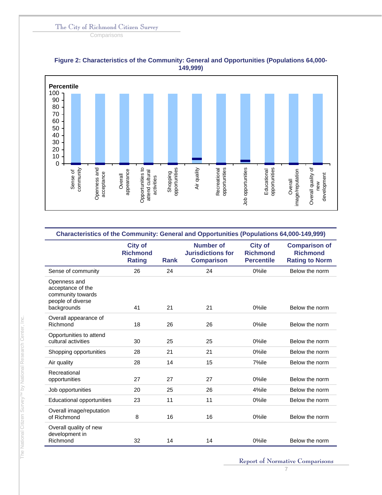**Comparisons** 



#### **Figure 2: Characteristics of the Community: General and Opportunities (Populations 64,000- 149,999)**

| Characteristics of the Community: General and Opportunities (Populations 64,000-149,999)   |                                                    |             |                                                                   |                                                        |                                                                  |  |
|--------------------------------------------------------------------------------------------|----------------------------------------------------|-------------|-------------------------------------------------------------------|--------------------------------------------------------|------------------------------------------------------------------|--|
|                                                                                            | <b>City of</b><br><b>Richmond</b><br><b>Rating</b> | <b>Rank</b> | <b>Number of</b><br><b>Jurisdictions for</b><br><b>Comparison</b> | <b>City of</b><br><b>Richmond</b><br><b>Percentile</b> | <b>Comparison of</b><br><b>Richmond</b><br><b>Rating to Norm</b> |  |
| Sense of community                                                                         | 26                                                 | 24          | 24                                                                | 0%ile                                                  | Below the norm                                                   |  |
| Openness and<br>acceptance of the<br>community towards<br>people of diverse<br>backgrounds | 41                                                 | 21          | 21                                                                | 0%ile                                                  | Below the norm                                                   |  |
| Overall appearance of<br>Richmond                                                          | 18                                                 | 26          | 26                                                                | 0%ile                                                  | Below the norm                                                   |  |
| Opportunities to attend<br>cultural activities                                             | 30                                                 | 25          | 25                                                                | 0%ile                                                  | Below the norm                                                   |  |
| Shopping opportunities                                                                     | 28                                                 | 21          | 21                                                                | 0%ile                                                  | Below the norm                                                   |  |
| Air quality                                                                                | 28                                                 | 14          | 15                                                                | 7%ile                                                  | Below the norm                                                   |  |
| Recreational<br>opportunities                                                              | 27                                                 | 27          | 27                                                                | 0%ile                                                  | Below the norm                                                   |  |
| Job opportunities                                                                          | 20                                                 | 25          | 26                                                                | 4%ile                                                  | Below the norm                                                   |  |
| Educational opportunities                                                                  | 23                                                 | 11          | 11                                                                | 0%ile                                                  | Below the norm                                                   |  |
| Overall image/reputation<br>of Richmond                                                    | 8                                                  | 16          | 16                                                                | 0%ile                                                  | Below the norm                                                   |  |
| Overall quality of new<br>development in<br>Richmond                                       | 32                                                 | 14          | 14                                                                | 0%ile                                                  | Below the norm                                                   |  |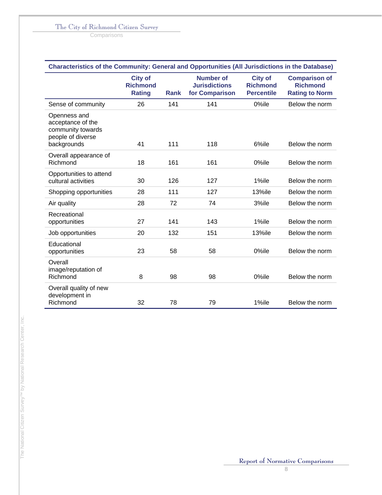**Comparisons** 

| Characteristics of the Community: General and Opportunities (All Jurisdictions in the Database) |                                                    |             |                                                            |                                                        |                                                                  |  |
|-------------------------------------------------------------------------------------------------|----------------------------------------------------|-------------|------------------------------------------------------------|--------------------------------------------------------|------------------------------------------------------------------|--|
|                                                                                                 | <b>City of</b><br><b>Richmond</b><br><b>Rating</b> | <b>Rank</b> | <b>Number of</b><br><b>Jurisdictions</b><br>for Comparison | <b>City of</b><br><b>Richmond</b><br><b>Percentile</b> | <b>Comparison of</b><br><b>Richmond</b><br><b>Rating to Norm</b> |  |
| Sense of community                                                                              | 26                                                 | 141         | 141                                                        | 0%ile                                                  | Below the norm                                                   |  |
| Openness and<br>acceptance of the<br>community towards<br>people of diverse<br>backgrounds      | 41                                                 | 111         | 118                                                        | 6%ile                                                  | Below the norm                                                   |  |
| Overall appearance of<br>Richmond                                                               | 18                                                 | 161         | 161                                                        | 0%ile                                                  | Below the norm                                                   |  |
| Opportunities to attend<br>cultural activities                                                  | 30                                                 | 126         | 127                                                        | 1%ile                                                  | Below the norm                                                   |  |
| Shopping opportunities                                                                          | 28                                                 | 111         | 127                                                        | $13%$ ile                                              | Below the norm                                                   |  |
| Air quality                                                                                     | 28                                                 | 72          | 74                                                         | 3%ile                                                  | Below the norm                                                   |  |
| Recreational<br>opportunities                                                                   | 27                                                 | 141         | 143                                                        | 1%ile                                                  | Below the norm                                                   |  |
| Job opportunities                                                                               | 20                                                 | 132         | 151                                                        | <b>13%ile</b>                                          | Below the norm                                                   |  |
| Educational<br>opportunities                                                                    | 23                                                 | 58          | 58                                                         | 0%ile                                                  | Below the norm                                                   |  |
| Overall<br>image/reputation of<br>Richmond                                                      | 8                                                  | 98          | 98                                                         | 0%ile                                                  | Below the norm                                                   |  |
| Overall quality of new<br>development in<br>Richmond                                            | 32                                                 | 78          | 79                                                         | 1%ile                                                  | Below the norm                                                   |  |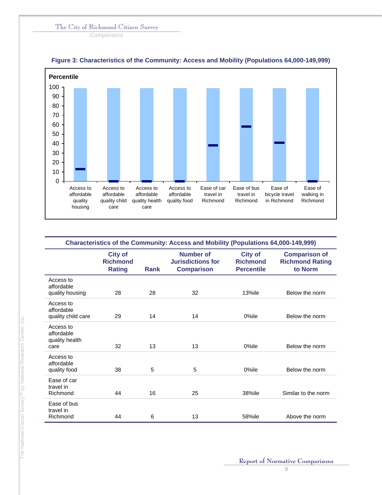**Comparisons** 



#### **Figure 3: Characteristics of the Community: Access and Mobility (Populations 64,000-149,999)**

| <b>Characteristics of the Community: Access and Mobility (Populations 64,000-149,999)</b> |                                                    |             |                                                                   |                                                        |                                                           |  |
|-------------------------------------------------------------------------------------------|----------------------------------------------------|-------------|-------------------------------------------------------------------|--------------------------------------------------------|-----------------------------------------------------------|--|
|                                                                                           | <b>City of</b><br><b>Richmond</b><br><b>Rating</b> | <b>Rank</b> | <b>Number of</b><br><b>Jurisdictions for</b><br><b>Comparison</b> | <b>City of</b><br><b>Richmond</b><br><b>Percentile</b> | <b>Comparison of</b><br><b>Richmond Rating</b><br>to Norm |  |
| Access to<br>affordable<br>quality housing                                                | 28                                                 | 28          | 32                                                                | 13%ile                                                 | Below the norm                                            |  |
| Access to<br>affordable<br>quality child care                                             | 29                                                 | 14          | 14                                                                | 0%ile                                                  | Below the norm                                            |  |
| Access to<br>affordable<br>quality health<br>care                                         | 32                                                 | 13          | 13                                                                | $0\%$ ile                                              | Below the norm                                            |  |
| Access to<br>affordable<br>quality food                                                   | 38                                                 | 5           | 5                                                                 | $0\%$ ile                                              | Below the norm                                            |  |
| Ease of car<br>travel in<br>Richmond                                                      | 44                                                 | 16          | 25                                                                | 38%ile                                                 | Similar to the norm                                       |  |
| Ease of bus<br>travel in<br>Richmond                                                      | 44                                                 | 6           | 13                                                                | 58%ile                                                 | Above the norm                                            |  |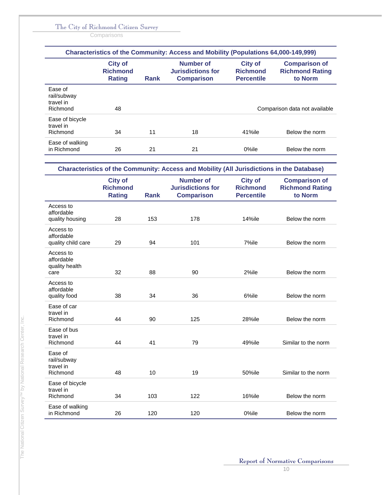**Comparisons** 

| <b>Characteristics of the Community: Access and Mobility (Populations 64,000-149,999)</b> |                                             |             |                                                            |                                                        |                                                           |  |
|-------------------------------------------------------------------------------------------|---------------------------------------------|-------------|------------------------------------------------------------|--------------------------------------------------------|-----------------------------------------------------------|--|
|                                                                                           | <b>City of</b><br><b>Richmond</b><br>Rating | <b>Rank</b> | Number of<br><b>Jurisdictions for</b><br><b>Comparison</b> | <b>City of</b><br><b>Richmond</b><br><b>Percentile</b> | <b>Comparison of</b><br><b>Richmond Rating</b><br>to Norm |  |
| Ease of<br>rail/subway<br>travel in<br>Richmond                                           | 48                                          |             |                                                            |                                                        | Comparison data not available                             |  |
| Ease of bicycle<br>travel in<br>Richmond                                                  | 34                                          | 11          | 18                                                         | 41%ile                                                 | Below the norm                                            |  |
| Ease of walking<br>in Richmond                                                            | 26                                          | 21          | 21                                                         | 0%ile                                                  | Below the norm                                            |  |

|                                                   | <b>City of</b><br><b>Richmond</b><br><b>Rating</b> | <b>Rank</b> | <b>Number of</b><br><b>Jurisdictions for</b><br><b>Comparison</b> | <b>City of</b><br><b>Richmond</b><br><b>Percentile</b> | <b>Comparison of</b><br><b>Richmond Rating</b><br>to Norm |
|---------------------------------------------------|----------------------------------------------------|-------------|-------------------------------------------------------------------|--------------------------------------------------------|-----------------------------------------------------------|
| Access to<br>affordable<br>quality housing        | 28                                                 | 153         | 178                                                               | 14%ile                                                 | Below the norm                                            |
| Access to<br>affordable<br>quality child care     | 29                                                 | 94          | 101                                                               | 7%ile                                                  | Below the norm                                            |
| Access to<br>affordable<br>quality health<br>care | 32                                                 | 88          | 90                                                                | 2%ile                                                  | Below the norm                                            |
| Access to<br>affordable<br>quality food           | 38                                                 | 34          | 36                                                                | 6%ile                                                  | Below the norm                                            |
| Ease of car<br>travel in<br>Richmond              | 44                                                 | 90          | 125                                                               | 28%ile                                                 | Below the norm                                            |
| Ease of bus<br>travel in<br>Richmond              | 44                                                 | 41          | 79                                                                | 49%ile                                                 | Similar to the norm                                       |
| Ease of<br>rail/subway<br>travel in<br>Richmond   | 48                                                 | 10          | 19                                                                | 50%ile                                                 | Similar to the norm                                       |
| Ease of bicycle<br>travel in<br>Richmond          | 34                                                 | 103         | 122                                                               | 16%ile                                                 | Below the norm                                            |
| Ease of walking<br>in Richmond                    | 26                                                 | 120         | 120                                                               | 0%ile                                                  | Below the norm                                            |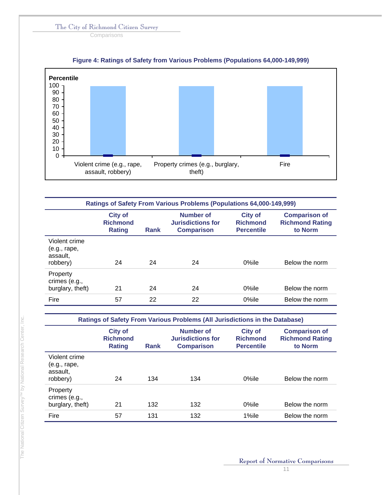**Comparisons** 



### **Figure 4: Ratings of Safety from Various Problems (Populations 64,000-149,999)**

| Ratings of Safety From Various Problems (Populations 64,000-149,999) |                                             |      |                                                            |                                                        |                                                           |  |
|----------------------------------------------------------------------|---------------------------------------------|------|------------------------------------------------------------|--------------------------------------------------------|-----------------------------------------------------------|--|
|                                                                      | <b>City of</b><br><b>Richmond</b><br>Rating | Rank | Number of<br><b>Jurisdictions for</b><br><b>Comparison</b> | <b>City of</b><br><b>Richmond</b><br><b>Percentile</b> | <b>Comparison of</b><br><b>Richmond Rating</b><br>to Norm |  |
| Violent crime<br>(e.g., rape,<br>assault,<br>robbery)                | 24                                          | 24   | 24                                                         | $0\%$ ile                                              | Below the norm                                            |  |
| Property<br>crimes (e.g.,<br>burglary, theft)                        | 21                                          | 24   | 24                                                         | $0\%$ ile                                              | Below the norm                                            |  |
| Fire                                                                 | 57                                          | 22   | 22                                                         | $0\%$ ile                                              | Below the norm                                            |  |

|                                                       | <b>City of</b><br><b>Richmond</b><br><b>Rating</b> | <b>Rank</b> | Number of<br><b>Jurisdictions for</b><br><b>Comparison</b> | <b>City of</b><br><b>Richmond</b><br><b>Percentile</b> | <b>Comparison of</b><br><b>Richmond Rating</b><br>to Norm |
|-------------------------------------------------------|----------------------------------------------------|-------------|------------------------------------------------------------|--------------------------------------------------------|-----------------------------------------------------------|
| Violent crime<br>(e.g., rape,<br>assault,<br>robbery) | 24                                                 | 134         | 134                                                        | 0%ile                                                  | Below the norm                                            |
| Property<br>crimes (e.g.,<br>burglary, theft)         | 21                                                 | 132         | 132                                                        | 0%ile                                                  | Below the norm                                            |
| Fire                                                  | 57                                                 | 131         | 132                                                        | 1%ile                                                  | Below the norm                                            |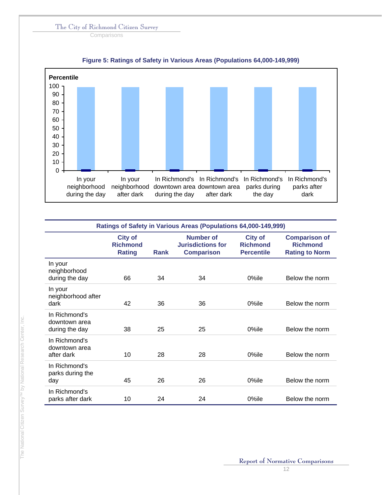**Comparisons** 



### **Figure 5: Ratings of Safety in Various Areas (Populations 64,000-149,999)**

| Ratings of Safety in Various Areas (Populations 64,000-149,999) |                                                    |             |                                                                   |                                                        |                                                                  |  |  |  |
|-----------------------------------------------------------------|----------------------------------------------------|-------------|-------------------------------------------------------------------|--------------------------------------------------------|------------------------------------------------------------------|--|--|--|
|                                                                 | <b>City of</b><br><b>Richmond</b><br><b>Rating</b> | <b>Rank</b> | <b>Number of</b><br><b>Jurisdictions for</b><br><b>Comparison</b> | <b>City of</b><br><b>Richmond</b><br><b>Percentile</b> | <b>Comparison of</b><br><b>Richmond</b><br><b>Rating to Norm</b> |  |  |  |
| In your<br>neighborhood<br>during the day                       | 66                                                 | 34          | 34                                                                | 0%ile                                                  | Below the norm                                                   |  |  |  |
| In your<br>neighborhood after<br>dark                           | 42                                                 | 36          | 36                                                                | 0%ile                                                  | Below the norm                                                   |  |  |  |
| In Richmond's<br>downtown area<br>during the day                | 38                                                 | 25          | 25                                                                | 0%ile                                                  | Below the norm                                                   |  |  |  |
| In Richmond's<br>downtown area<br>after dark                    | 10                                                 | 28          | 28                                                                | 0%ile                                                  | Below the norm                                                   |  |  |  |
| In Richmond's<br>parks during the<br>day                        | 45                                                 | 26          | 26                                                                | 0%ile                                                  | Below the norm                                                   |  |  |  |
| In Richmond's<br>parks after dark                               | 10                                                 | 24          | 24                                                                | 0%ile                                                  | Below the norm                                                   |  |  |  |

The National Citizen Survey™ by National Research Center, Inc. The National Citizen Survey<sup>TM</sup> by National Research Center, Inc.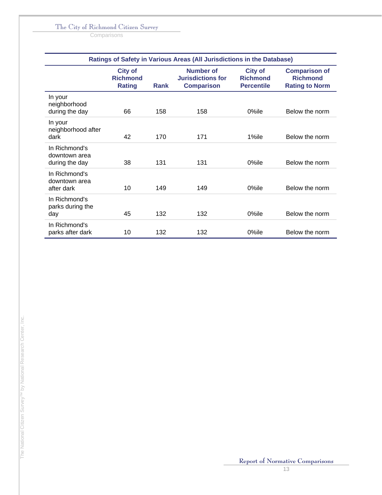**Comparisons** 

| Ratings of Safety in Various Areas (All Jurisdictions in the Database) |                                                    |             |                                                                   |                                                        |                                                                  |  |  |  |
|------------------------------------------------------------------------|----------------------------------------------------|-------------|-------------------------------------------------------------------|--------------------------------------------------------|------------------------------------------------------------------|--|--|--|
|                                                                        | <b>City of</b><br><b>Richmond</b><br><b>Rating</b> | <b>Rank</b> | <b>Number of</b><br><b>Jurisdictions for</b><br><b>Comparison</b> | <b>City of</b><br><b>Richmond</b><br><b>Percentile</b> | <b>Comparison of</b><br><b>Richmond</b><br><b>Rating to Norm</b> |  |  |  |
| In your<br>neighborhood<br>during the day                              | 66                                                 | 158         | 158                                                               | 0%ile                                                  | Below the norm                                                   |  |  |  |
| In your<br>neighborhood after<br>dark                                  | 42                                                 | 170         | 171                                                               | 1%ile                                                  | Below the norm                                                   |  |  |  |
| In Richmond's<br>downtown area<br>during the day                       | 38                                                 | 131         | 131                                                               | 0%ile                                                  | Below the norm                                                   |  |  |  |
| In Richmond's<br>downtown area<br>after dark                           | 10                                                 | 149         | 149                                                               | $0\%$ ile                                              | Below the norm                                                   |  |  |  |
| In Richmond's<br>parks during the<br>day                               | 45                                                 | 132         | 132                                                               | 0%ile                                                  | Below the norm                                                   |  |  |  |
| In Richmond's<br>parks after dark                                      | 10                                                 | 132         | 132                                                               | 0%ile                                                  | Below the norm                                                   |  |  |  |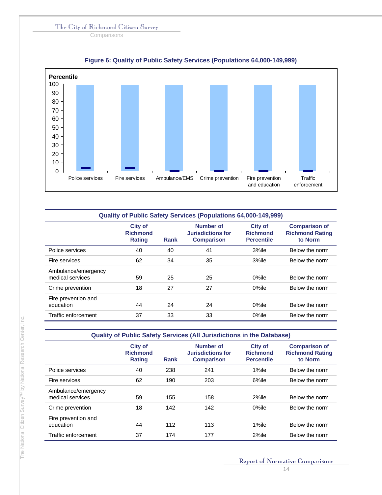**Comparisons** 



### **Figure 6: Quality of Public Safety Services (Populations 64,000-149,999)**

| <b>Quality of Public Safety Services (Populations 64,000-149,999)</b> |                                                    |             |                                                            |                                                        |                                                           |  |  |  |  |
|-----------------------------------------------------------------------|----------------------------------------------------|-------------|------------------------------------------------------------|--------------------------------------------------------|-----------------------------------------------------------|--|--|--|--|
|                                                                       | <b>City of</b><br><b>Richmond</b><br><b>Rating</b> | <b>Rank</b> | Number of<br><b>Jurisdictions for</b><br><b>Comparison</b> | <b>City of</b><br><b>Richmond</b><br><b>Percentile</b> | <b>Comparison of</b><br><b>Richmond Rating</b><br>to Norm |  |  |  |  |
| Police services                                                       | 40                                                 | 40          | 41                                                         | 3%ile                                                  | Below the norm                                            |  |  |  |  |
| Fire services                                                         | 62                                                 | 34          | 35                                                         | 3%ile                                                  | Below the norm                                            |  |  |  |  |
| Ambulance/emergency<br>medical services                               | 59                                                 | 25          | 25                                                         | 0%ile                                                  | Below the norm                                            |  |  |  |  |
| Crime prevention                                                      | 18                                                 | 27          | 27                                                         | $0\%$ ile                                              | Below the norm                                            |  |  |  |  |
| Fire prevention and<br>education                                      | 44                                                 | 24          | 24                                                         | $0\%$ ile                                              | Below the norm                                            |  |  |  |  |
| Traffic enforcement                                                   | 37                                                 | 33          | 33                                                         | 0%ile                                                  | Below the norm                                            |  |  |  |  |

#### **Quality of Public Safety Services (All Jurisdictions in the Database)**

|                                         | <b>City of</b><br><b>Richmond</b><br><b>Rating</b> | Rank | <b>Number of</b><br><b>Jurisdictions for</b><br><b>Comparison</b> | <b>City of</b><br><b>Richmond</b><br><b>Percentile</b> | <b>Comparison of</b><br><b>Richmond Rating</b><br>to Norm |
|-----------------------------------------|----------------------------------------------------|------|-------------------------------------------------------------------|--------------------------------------------------------|-----------------------------------------------------------|
| Police services                         | 40                                                 | 238  | 241                                                               | 1%ile                                                  | Below the norm                                            |
| Fire services                           | 62                                                 | 190  | 203                                                               | 6%ile                                                  | Below the norm                                            |
| Ambulance/emergency<br>medical services | 59                                                 | 155  | 158                                                               | 2%ile                                                  | Below the norm                                            |
| Crime prevention                        | 18                                                 | 142  | 142                                                               | $0\%$ ile                                              | Below the norm                                            |
| Fire prevention and<br>education        | 44                                                 | 112  | 113                                                               | 1%ile                                                  | Below the norm                                            |
| Traffic enforcement                     | 37                                                 | 174  | 177                                                               | 2%ile                                                  | Below the norm                                            |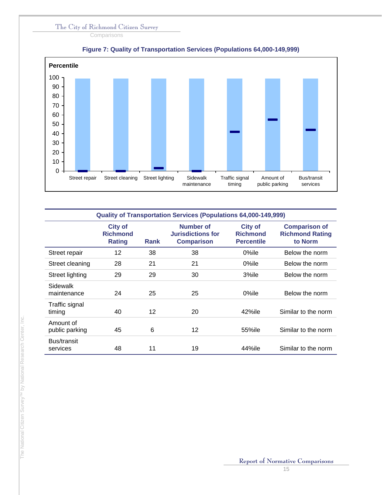**Comparisons** 





|                             | <b>Quality of Transportation Services (Populations 64,000-149,999)</b> |             |                                                            |                                                        |                                                           |  |  |  |
|-----------------------------|------------------------------------------------------------------------|-------------|------------------------------------------------------------|--------------------------------------------------------|-----------------------------------------------------------|--|--|--|
|                             | <b>City of</b><br><b>Richmond</b><br><b>Rating</b>                     | <b>Rank</b> | Number of<br><b>Jurisdictions for</b><br><b>Comparison</b> | <b>City of</b><br><b>Richmond</b><br><b>Percentile</b> | <b>Comparison of</b><br><b>Richmond Rating</b><br>to Norm |  |  |  |
| Street repair               | 12                                                                     | 38          | 38                                                         | 0%ile                                                  | Below the norm                                            |  |  |  |
| Street cleaning             | 28                                                                     | 21          | 21                                                         | 0%ile                                                  | Below the norm                                            |  |  |  |
| Street lighting             | 29                                                                     | 29          | 30                                                         | 3%ile                                                  | Below the norm                                            |  |  |  |
| Sidewalk<br>maintenance     | 24                                                                     | 25          | 25                                                         | 0%ile                                                  | Below the norm                                            |  |  |  |
| Traffic signal<br>timing    | 40                                                                     | 12          | 20                                                         | 42%ile                                                 | Similar to the norm                                       |  |  |  |
| Amount of<br>public parking | 45                                                                     | 6           | 12                                                         | 55%ile                                                 | Similar to the norm                                       |  |  |  |
| Bus/transit<br>services     | 48                                                                     | 11          | 19                                                         | 44%ile                                                 | Similar to the norm                                       |  |  |  |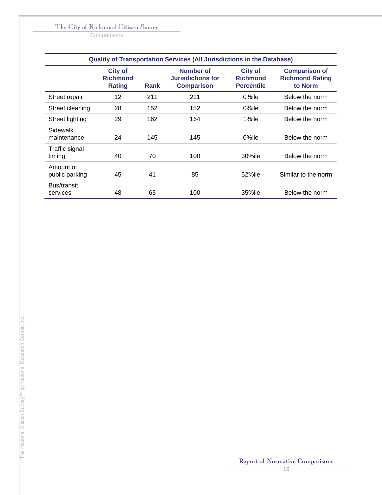**Comparisons** 

| <b>Quality of Transportation Services (All Jurisdictions in the Database)</b> |                                                    |             |                                                            |                                                        |                                                           |  |  |  |
|-------------------------------------------------------------------------------|----------------------------------------------------|-------------|------------------------------------------------------------|--------------------------------------------------------|-----------------------------------------------------------|--|--|--|
|                                                                               | <b>City of</b><br><b>Richmond</b><br><b>Rating</b> | <b>Rank</b> | Number of<br><b>Jurisdictions for</b><br><b>Comparison</b> | <b>City of</b><br><b>Richmond</b><br><b>Percentile</b> | <b>Comparison of</b><br><b>Richmond Rating</b><br>to Norm |  |  |  |
| Street repair                                                                 | 12                                                 | 211         | 211                                                        | 0%ile                                                  | Below the norm                                            |  |  |  |
| Street cleaning                                                               | 28                                                 | 152         | 152                                                        | 0%ile                                                  | Below the norm                                            |  |  |  |
| Street lighting                                                               | 29                                                 | 162         | 164                                                        | 1%ile                                                  | Below the norm                                            |  |  |  |
| Sidewalk<br>maintenance                                                       | 24                                                 | 145         | 145                                                        | 0%ile                                                  | Below the norm                                            |  |  |  |
| Traffic signal<br>timing                                                      | 40                                                 | 70          | 100                                                        | 30%ile                                                 | Below the norm                                            |  |  |  |
| Amount of<br>public parking                                                   | 45                                                 | 41          | 85                                                         | 52%ile                                                 | Similar to the norm                                       |  |  |  |
| Bus/transit<br>services                                                       | 48                                                 | 65          | 100                                                        | 35%ile                                                 | Below the norm                                            |  |  |  |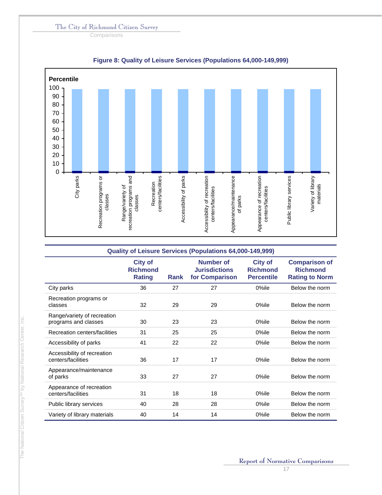**Comparisons** 



| Figure 8: Quality of Leisure Services (Populations 64,000-149,999) |  |  |  |
|--------------------------------------------------------------------|--|--|--|

| <b>Quality of Leisure Services (Populations 64,000-149,999)</b> |                                                    |      |                                                            |                                                        |                                                                  |  |  |  |  |
|-----------------------------------------------------------------|----------------------------------------------------|------|------------------------------------------------------------|--------------------------------------------------------|------------------------------------------------------------------|--|--|--|--|
|                                                                 | <b>City of</b><br><b>Richmond</b><br><b>Rating</b> | Rank | <b>Number of</b><br><b>Jurisdictions</b><br>for Comparison | <b>City of</b><br><b>Richmond</b><br><b>Percentile</b> | <b>Comparison of</b><br><b>Richmond</b><br><b>Rating to Norm</b> |  |  |  |  |
| City parks                                                      | 36                                                 | 27   | 27                                                         | 0%ile                                                  | Below the norm                                                   |  |  |  |  |
| Recreation programs or<br>classes                               | 32                                                 | 29   | 29                                                         | 0%ile                                                  | Below the norm                                                   |  |  |  |  |
| Range/variety of recreation<br>programs and classes             | 30                                                 | 23   | 23                                                         | 0%ile                                                  | Below the norm                                                   |  |  |  |  |
| Recreation centers/facilities                                   | 31                                                 | 25   | 25                                                         | 0%ile                                                  | Below the norm                                                   |  |  |  |  |
| Accessibility of parks                                          | 41                                                 | 22   | 22                                                         | 0%ile                                                  | Below the norm                                                   |  |  |  |  |
| Accessibility of recreation<br>centers/facilities               | 36                                                 | 17   | 17                                                         | $0\%$ ile                                              | Below the norm                                                   |  |  |  |  |
| Appearance/maintenance<br>of parks                              | 33                                                 | 27   | 27                                                         | 0%ile                                                  | Below the norm                                                   |  |  |  |  |
| Appearance of recreation<br>centers/facilities                  | 31                                                 | 18   | 18                                                         | 0%ile                                                  | Below the norm                                                   |  |  |  |  |
| Public library services                                         | 40                                                 | 28   | 28                                                         | 0%ile                                                  | Below the norm                                                   |  |  |  |  |
| Variety of library materials                                    | 40                                                 | 14   | 14                                                         | 0%ile                                                  | Below the norm                                                   |  |  |  |  |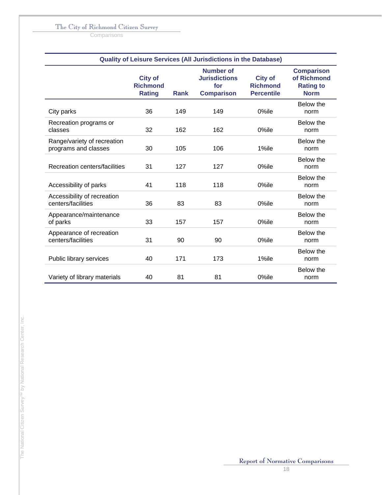**Comparisons** 

| <b>Quality of Leisure Services (All Jurisdictions in the Database)</b> |                                                    |             |                                                                      |                                                        |                                                                     |  |  |
|------------------------------------------------------------------------|----------------------------------------------------|-------------|----------------------------------------------------------------------|--------------------------------------------------------|---------------------------------------------------------------------|--|--|
|                                                                        | <b>City of</b><br><b>Richmond</b><br><b>Rating</b> | <b>Rank</b> | <b>Number of</b><br><b>Jurisdictions</b><br>for<br><b>Comparison</b> | <b>City of</b><br><b>Richmond</b><br><b>Percentile</b> | <b>Comparison</b><br>of Richmond<br><b>Rating to</b><br><b>Norm</b> |  |  |
| City parks                                                             | 36                                                 | 149         | 149                                                                  | 0%ile                                                  | Below the<br>norm                                                   |  |  |
| Recreation programs or<br>classes                                      | 32                                                 | 162         | 162                                                                  | 0%ile                                                  | Below the<br>norm                                                   |  |  |
| Range/variety of recreation<br>programs and classes                    | 30                                                 | 105         | 106                                                                  | 1%ile                                                  | Below the<br>norm                                                   |  |  |
| Recreation centers/facilities                                          | 31                                                 | 127         | 127                                                                  | 0%ile                                                  | Below the<br>norm                                                   |  |  |
| Accessibility of parks                                                 | 41                                                 | 118         | 118                                                                  | 0%ile                                                  | Below the<br>norm                                                   |  |  |
| Accessibility of recreation<br>centers/facilities                      | 36                                                 | 83          | 83                                                                   | 0%ile                                                  | Below the<br>norm                                                   |  |  |
| Appearance/maintenance<br>of parks                                     | 33                                                 | 157         | 157                                                                  | 0%ile                                                  | Below the<br>norm                                                   |  |  |
| Appearance of recreation<br>centers/facilities                         | 31                                                 | 90          | 90                                                                   | 0%ile                                                  | Below the<br>norm                                                   |  |  |
| Public library services                                                | 40                                                 | 171         | 173                                                                  | 1%ile                                                  | Below the<br>norm                                                   |  |  |
| Variety of library materials                                           | 40                                                 | 81          | 81                                                                   | 0%ile                                                  | Below the<br>norm                                                   |  |  |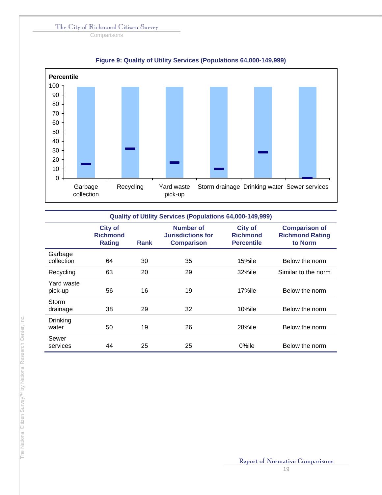**Comparisons** 



### **Figure 9: Quality of Utility Services (Populations 64,000-149,999)**

| <b>Quality of Utility Services (Populations 64,000-149,999)</b> |                                                    |             |                                                            |                                                        |                                                           |  |  |  |
|-----------------------------------------------------------------|----------------------------------------------------|-------------|------------------------------------------------------------|--------------------------------------------------------|-----------------------------------------------------------|--|--|--|
|                                                                 | <b>City of</b><br><b>Richmond</b><br><b>Rating</b> | <b>Rank</b> | Number of<br><b>Jurisdictions for</b><br><b>Comparison</b> | <b>City of</b><br><b>Richmond</b><br><b>Percentile</b> | <b>Comparison of</b><br><b>Richmond Rating</b><br>to Norm |  |  |  |
| Garbage<br>collection                                           | 64                                                 | 30          | 35                                                         | $15%$ ile                                              | Below the norm                                            |  |  |  |
| Recycling                                                       | 63                                                 | 20          | 29                                                         | 32%ile                                                 | Similar to the norm                                       |  |  |  |
| Yard waste<br>pick-up                                           | 56                                                 | 16          | 19                                                         | 17%ile                                                 | Below the norm                                            |  |  |  |
| Storm<br>drainage                                               | 38                                                 | 29          | 32                                                         | $10\%$ ile                                             | Below the norm                                            |  |  |  |
| Drinking<br>water                                               | 50                                                 | 19          | 26                                                         | 28%ile                                                 | Below the norm                                            |  |  |  |
| Sewer<br>services                                               | 44                                                 | 25          | 25                                                         | 0%ile                                                  | Below the norm                                            |  |  |  |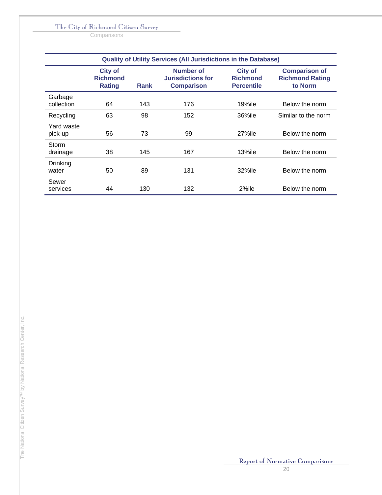**Comparisons** 

|                          | <b>Quality of Utility Services (All Jurisdictions in the Database)</b> |      |                                                                   |                                                        |                                                           |  |  |  |
|--------------------------|------------------------------------------------------------------------|------|-------------------------------------------------------------------|--------------------------------------------------------|-----------------------------------------------------------|--|--|--|
|                          | <b>City of</b><br><b>Richmond</b><br><b>Rating</b>                     | Rank | <b>Number of</b><br><b>Jurisdictions for</b><br><b>Comparison</b> | <b>City of</b><br><b>Richmond</b><br><b>Percentile</b> | <b>Comparison of</b><br><b>Richmond Rating</b><br>to Norm |  |  |  |
| Garbage<br>collection    | 64                                                                     | 143  | 176                                                               | $19%$ ile                                              | Below the norm                                            |  |  |  |
| Recycling                | 63                                                                     | 98   | 152                                                               | 36%ile                                                 | Similar to the norm                                       |  |  |  |
| Yard waste<br>pick-up    | 56                                                                     | 73   | 99                                                                | $27\%$ ile                                             | Below the norm                                            |  |  |  |
| Storm<br>drainage        | 38                                                                     | 145  | 167                                                               | $13%$ ile                                              | Below the norm                                            |  |  |  |
| <b>Drinking</b><br>water | 50                                                                     | 89   | 131                                                               | 32%ile                                                 | Below the norm                                            |  |  |  |
| Sewer<br>services        | 44                                                                     | 130  | 132                                                               | 2%ile                                                  | Below the norm                                            |  |  |  |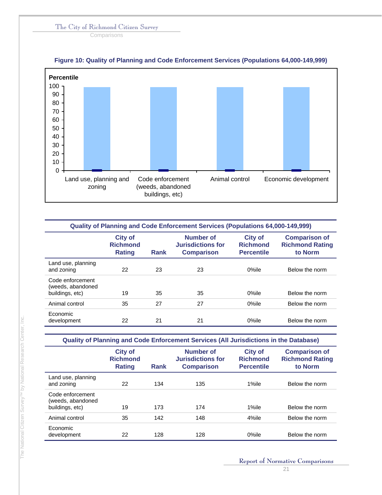**Comparisons** 



#### **Figure 10: Quality of Planning and Code Enforcement Services (Populations 64,000-149,999)**

| <b>Quality of Planning and Code Enforcement Services (Populations 64,000-149,999)</b> |                                             |      |                                                            |                                                        |                                                           |  |
|---------------------------------------------------------------------------------------|---------------------------------------------|------|------------------------------------------------------------|--------------------------------------------------------|-----------------------------------------------------------|--|
|                                                                                       | <b>City of</b><br><b>Richmond</b><br>Rating | Rank | Number of<br><b>Jurisdictions for</b><br><b>Comparison</b> | <b>City of</b><br><b>Richmond</b><br><b>Percentile</b> | <b>Comparison of</b><br><b>Richmond Rating</b><br>to Norm |  |
| Land use, planning<br>and zoning                                                      | 22                                          | 23   | 23                                                         | $0\%$ ile                                              | Below the norm                                            |  |
| Code enforcement<br>(weeds, abandoned<br>buildings, etc)                              | 19                                          | 35   | 35                                                         | $0\%$ ile                                              | Below the norm                                            |  |
| Animal control                                                                        | 35                                          | 27   | 27                                                         | 0%ile                                                  | Below the norm                                            |  |
| Economic<br>development                                                               | 22                                          | 21   | 21                                                         | 0%ile                                                  | Below the norm                                            |  |

**Quality of Planning and Code Enforcement Services (All Jurisdictions in the Database)** 

|                                                          | <b>City of</b><br><b>Richmond</b><br>Rating | <b>Rank</b> | Number of<br><b>Jurisdictions for</b><br><b>Comparison</b> | <b>City of</b><br><b>Richmond</b><br><b>Percentile</b> | <b>Comparison of</b><br><b>Richmond Rating</b><br>to Norm |
|----------------------------------------------------------|---------------------------------------------|-------------|------------------------------------------------------------|--------------------------------------------------------|-----------------------------------------------------------|
| Land use, planning<br>and zoning                         | 22                                          | 134         | 135                                                        | 1%ile                                                  | Below the norm                                            |
| Code enforcement<br>(weeds, abandoned<br>buildings, etc) | 19                                          | 173         | 174                                                        | 1%ile                                                  | Below the norm                                            |
| Animal control                                           | 35                                          | 142         | 148                                                        | 4%ile                                                  | Below the norm                                            |
| Economic<br>development                                  | 22                                          | 128         | 128                                                        | 0%ile                                                  | Below the norm                                            |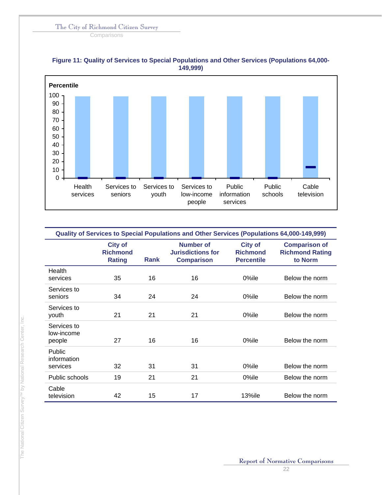**Comparisons** 



#### **Figure 11: Quality of Services to Special Populations and Other Services (Populations 64,000- 149,999)**

| <b>Quality of Services to Special Populations and Other Services (Populations 64,000-149,999)</b> |                                                    |             |                                                                   |                                                        |                                                           |  |
|---------------------------------------------------------------------------------------------------|----------------------------------------------------|-------------|-------------------------------------------------------------------|--------------------------------------------------------|-----------------------------------------------------------|--|
|                                                                                                   | <b>City of</b><br><b>Richmond</b><br><b>Rating</b> | <b>Rank</b> | <b>Number of</b><br><b>Jurisdictions for</b><br><b>Comparison</b> | <b>City of</b><br><b>Richmond</b><br><b>Percentile</b> | <b>Comparison of</b><br><b>Richmond Rating</b><br>to Norm |  |
| Health<br>services                                                                                | 35                                                 | 16          | 16                                                                | 0%ile                                                  | Below the norm                                            |  |
| Services to<br>seniors                                                                            | 34                                                 | 24          | 24                                                                | 0%ile                                                  | Below the norm                                            |  |
| Services to<br>youth                                                                              | 21                                                 | 21          | 21                                                                | 0%ile                                                  | Below the norm                                            |  |
| Services to<br>low-income<br>people                                                               | 27                                                 | 16          | 16                                                                | 0%ile                                                  | Below the norm                                            |  |
| <b>Public</b><br>information<br>services                                                          | 32                                                 | 31          | 31                                                                | 0%ile                                                  | Below the norm                                            |  |
| Public schools                                                                                    | 19                                                 | 21          | 21                                                                | 0%ile                                                  | Below the norm                                            |  |
| Cable<br>television                                                                               | 42                                                 | 15          | 17                                                                | 13%ile                                                 | Below the norm                                            |  |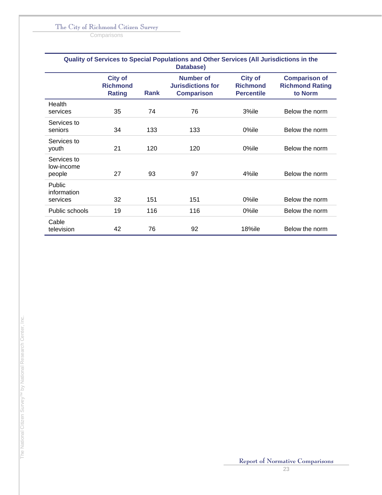**Comparisons** 

| Quality of Services to Special Populations and Other Services (All Jurisdictions in the<br>Database) |                                                    |             |                                                                   |                                                        |                                                           |  |
|------------------------------------------------------------------------------------------------------|----------------------------------------------------|-------------|-------------------------------------------------------------------|--------------------------------------------------------|-----------------------------------------------------------|--|
|                                                                                                      | <b>City of</b><br><b>Richmond</b><br><b>Rating</b> | <b>Rank</b> | <b>Number of</b><br><b>Jurisdictions for</b><br><b>Comparison</b> | <b>City of</b><br><b>Richmond</b><br><b>Percentile</b> | <b>Comparison of</b><br><b>Richmond Rating</b><br>to Norm |  |
| Health<br>services                                                                                   | 35                                                 | 74          | 76                                                                | 3%ile                                                  | Below the norm                                            |  |
| Services to<br>seniors                                                                               | 34                                                 | 133         | 133                                                               | 0%ile                                                  | Below the norm                                            |  |
| Services to<br>youth                                                                                 | 21                                                 | 120         | 120                                                               | 0%ile                                                  | Below the norm                                            |  |
| Services to<br>low-income<br>people                                                                  | 27                                                 | 93          | 97                                                                | 4%ile                                                  | Below the norm                                            |  |
| <b>Public</b><br>information<br>services                                                             | 32                                                 | 151         | 151                                                               | 0%ile                                                  | Below the norm                                            |  |
| Public schools                                                                                       | 19                                                 | 116         | 116                                                               | 0%ile                                                  | Below the norm                                            |  |
| Cable<br>television                                                                                  | 42                                                 | 76          | 92                                                                | 18%ile                                                 | Below the norm                                            |  |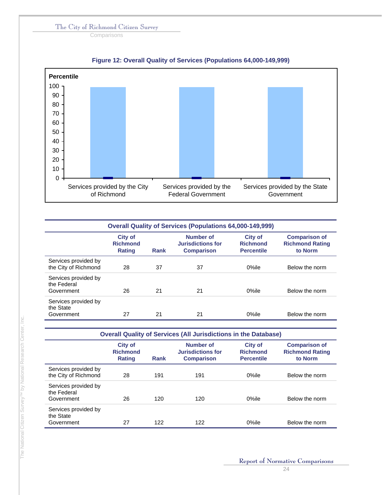**Comparisons** 





|                                                   | <b>Overall Quality of Services (Populations 64,000-149,999)</b> |      |                                                            |                                                        |                                                           |  |  |
|---------------------------------------------------|-----------------------------------------------------------------|------|------------------------------------------------------------|--------------------------------------------------------|-----------------------------------------------------------|--|--|
|                                                   | <b>City of</b><br><b>Richmond</b><br><b>Rating</b>              | Rank | Number of<br><b>Jurisdictions for</b><br><b>Comparison</b> | <b>City of</b><br><b>Richmond</b><br><b>Percentile</b> | <b>Comparison of</b><br><b>Richmond Rating</b><br>to Norm |  |  |
| Services provided by<br>the City of Richmond      | 28                                                              | 37   | 37                                                         | 0%ile                                                  | Below the norm                                            |  |  |
| Services provided by<br>the Federal<br>Government | 26                                                              | 21   | 21                                                         | 0%ile                                                  | Below the norm                                            |  |  |
| Services provided by<br>the State<br>Government   | 27                                                              | 21   | 21                                                         | 0%ile                                                  | Below the norm                                            |  |  |

| <b>Overall Quality of Services (All Jurisdictions in the Database)</b> |                                                    |      |                                                            |                                                        |                                                           |  |
|------------------------------------------------------------------------|----------------------------------------------------|------|------------------------------------------------------------|--------------------------------------------------------|-----------------------------------------------------------|--|
|                                                                        | <b>City of</b><br><b>Richmond</b><br><b>Rating</b> | Rank | Number of<br><b>Jurisdictions for</b><br><b>Comparison</b> | <b>City of</b><br><b>Richmond</b><br><b>Percentile</b> | <b>Comparison of</b><br><b>Richmond Rating</b><br>to Norm |  |
| Services provided by<br>the City of Richmond                           | 28                                                 | 191  | 191                                                        | 0%ile                                                  | Below the norm                                            |  |
| Services provided by<br>the Federal<br>Government                      | 26                                                 | 120  | 120                                                        | 0%ile                                                  | Below the norm                                            |  |
| Services provided by<br>the State<br>Government                        | 27                                                 | 122  | 122                                                        | 0%ile                                                  | Below the norm                                            |  |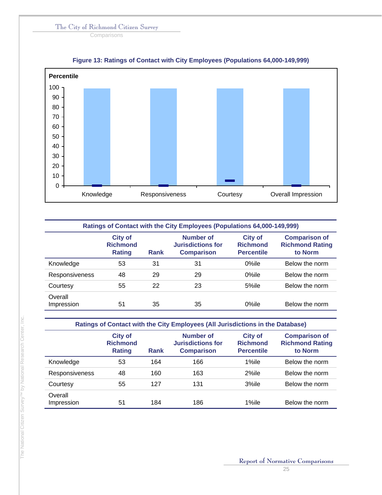**Comparisons** 





| Ratings of Contact with the City Employees (Populations 64,000-149,999) |                                             |             |                                                            |                                                        |                                                           |  |
|-------------------------------------------------------------------------|---------------------------------------------|-------------|------------------------------------------------------------|--------------------------------------------------------|-----------------------------------------------------------|--|
|                                                                         | <b>City of</b><br><b>Richmond</b><br>Rating | <b>Rank</b> | Number of<br><b>Jurisdictions for</b><br><b>Comparison</b> | <b>City of</b><br><b>Richmond</b><br><b>Percentile</b> | <b>Comparison of</b><br><b>Richmond Rating</b><br>to Norm |  |
| Knowledge                                                               | 53                                          | 31          | 31                                                         | $0\%$ ile                                              | Below the norm                                            |  |
| Responsiveness                                                          | 48                                          | 29          | 29                                                         | 0%ile                                                  | Below the norm                                            |  |
| Courtesy                                                                | 55                                          | 22          | 23                                                         | 5%ile                                                  | Below the norm                                            |  |
| Overall<br>Impression                                                   | 51                                          | 35          | 35                                                         | $0\%$ ile                                              | Below the norm                                            |  |

**Ratings of Contact with the City Employees (All Jurisdictions in the Database)** 

|                       | <b>City of</b><br><b>Richmond</b><br><b>Rating</b> | <b>Rank</b> | <b>Number of</b><br><b>Jurisdictions for</b><br><b>Comparison</b> | <b>City of</b><br><b>Richmond</b><br><b>Percentile</b> | <b>Comparison of</b><br><b>Richmond Rating</b><br>to Norm |
|-----------------------|----------------------------------------------------|-------------|-------------------------------------------------------------------|--------------------------------------------------------|-----------------------------------------------------------|
| Knowledge             | 53                                                 | 164         | 166                                                               | 1%ile                                                  | Below the norm                                            |
| Responsiveness        | 48                                                 | 160         | 163                                                               | 2%ile                                                  | Below the norm                                            |
| Courtesy              | 55                                                 | 127         | 131                                                               | 3%ile                                                  | Below the norm                                            |
| Overall<br>Impression | 51                                                 | 184         | 186                                                               | 1%ile                                                  | Below the norm                                            |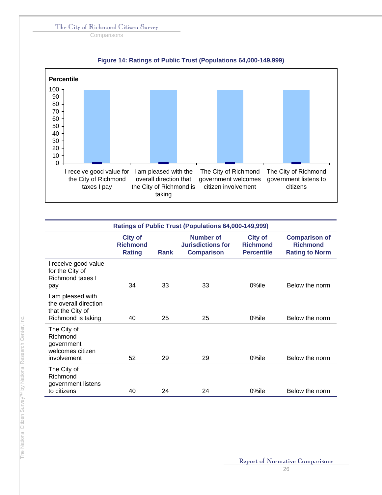**Comparisons** 





|                                                                                      | Ratings of Public Trust (Populations 64,000-149,999) |             |                                                                   |                                                        |                                                                  |
|--------------------------------------------------------------------------------------|------------------------------------------------------|-------------|-------------------------------------------------------------------|--------------------------------------------------------|------------------------------------------------------------------|
|                                                                                      | <b>City of</b><br><b>Richmond</b><br><b>Rating</b>   | <b>Rank</b> | <b>Number of</b><br><b>Jurisdictions for</b><br><b>Comparison</b> | <b>City of</b><br><b>Richmond</b><br><b>Percentile</b> | <b>Comparison of</b><br><b>Richmond</b><br><b>Rating to Norm</b> |
| I receive good value<br>for the City of<br>Richmond taxes I<br>pay                   | 34                                                   | 33          | 33                                                                | 0%ile                                                  | Below the norm                                                   |
| I am pleased with<br>the overall direction<br>that the City of<br>Richmond is taking | 40                                                   | 25          | 25                                                                | 0%ile                                                  | Below the norm                                                   |
| The City of<br>Richmond<br>government<br>welcomes citizen<br>involvement             | 52                                                   | 29          | 29                                                                | 0%ile                                                  | Below the norm                                                   |
| The City of<br>Richmond<br>government listens<br>to citizens                         | 40                                                   | 24          | 24                                                                | 0%ile                                                  | Below the norm                                                   |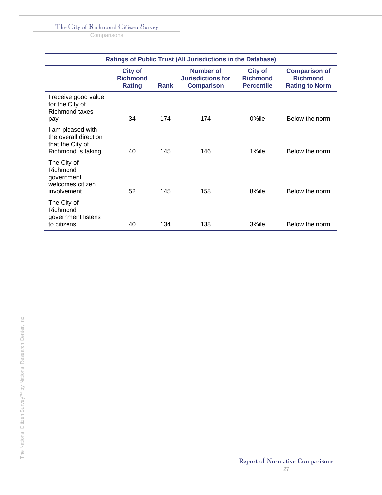**Comparisons** 

| <b>Ratings of Public Trust (All Jurisdictions in the Database)</b>                   |                                                    |             |                                                            |                                                        |                                                                  |
|--------------------------------------------------------------------------------------|----------------------------------------------------|-------------|------------------------------------------------------------|--------------------------------------------------------|------------------------------------------------------------------|
|                                                                                      | <b>City of</b><br><b>Richmond</b><br><b>Rating</b> | <b>Rank</b> | Number of<br><b>Jurisdictions for</b><br><b>Comparison</b> | <b>City of</b><br><b>Richmond</b><br><b>Percentile</b> | <b>Comparison of</b><br><b>Richmond</b><br><b>Rating to Norm</b> |
| I receive good value<br>for the City of<br>Richmond taxes I<br>pay                   | 34                                                 | 174         | 174                                                        | 0%ile                                                  | Below the norm                                                   |
| I am pleased with<br>the overall direction<br>that the City of<br>Richmond is taking | 40                                                 | 145         | 146                                                        | 1%ile                                                  | Below the norm                                                   |
| The City of<br>Richmond<br>government<br>welcomes citizen<br>involvement             | 52                                                 | 145         | 158                                                        | 8%ile                                                  | Below the norm                                                   |
| The City of<br>Richmond<br>government listens<br>to citizens                         | 40                                                 | 134         | 138                                                        | 3%ile                                                  | Below the norm                                                   |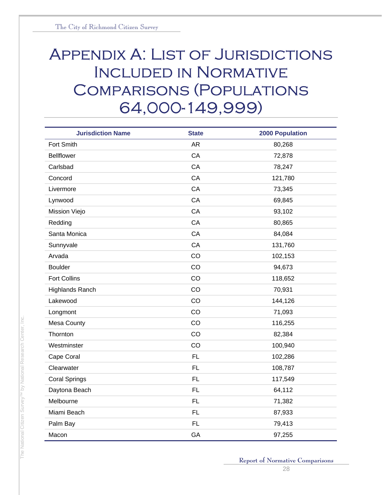# Appendix A: List of Jurisdictions Included in Normative Comparisons (Populations 64,000-149,999)

| <b>Jurisdiction Name</b> | <b>State</b> | <b>2000 Population</b> |
|--------------------------|--------------|------------------------|
| Fort Smith               | <b>AR</b>    | 80,268                 |
| <b>Bellflower</b>        | CA           | 72,878                 |
| Carlsbad                 | CA           | 78,247                 |
| Concord                  | CA           | 121,780                |
| Livermore                | CA           | 73,345                 |
| Lynwood                  | CA           | 69,845                 |
| Mission Viejo            | CA           | 93,102                 |
| Redding                  | CA           | 80,865                 |
| Santa Monica             | CA           | 84,084                 |
| Sunnyvale                | CA           | 131,760                |
| Arvada                   | CO           | 102,153                |
| <b>Boulder</b>           | CO           | 94,673                 |
| <b>Fort Collins</b>      | CO           | 118,652                |
| Highlands Ranch          | CO           | 70,931                 |
| Lakewood                 | CO           | 144,126                |
| Longmont                 | CO           | 71,093                 |
| Mesa County              | CO           | 116,255                |
| Thornton                 | CO           | 82,384                 |
| Westminster              | CO           | 100,940                |
| Cape Coral               | FL           | 102,286                |
| Clearwater               | FL           | 108,787                |
| <b>Coral Springs</b>     | <b>FL</b>    | 117,549                |
| Daytona Beach            | FL           | 64,112                 |
| Melbourne                | FL           | 71,382                 |
| Miami Beach              | FL           | 87,933                 |
| Palm Bay                 | <b>FL</b>    | 79,413                 |
| Macon                    | GA           | 97,255                 |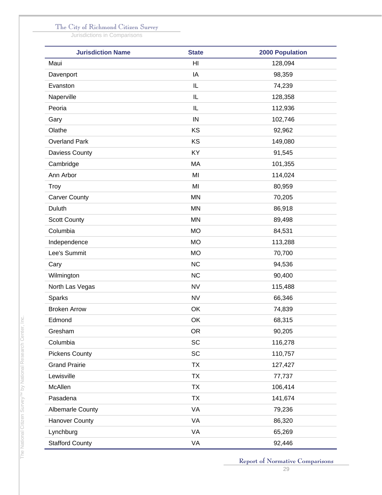Jurisdictions in Comparisons

| <b>Jurisdiction Name</b> | <b>State</b>   | <b>2000 Population</b> |
|--------------------------|----------------|------------------------|
| Maui                     | H <sub>l</sub> | 128,094                |
| Davenport                | IA             | 98,359                 |
| Evanston                 | IL             | 74,239                 |
| Naperville               | IL             | 128,358                |
| Peoria                   | IL             | 112,936                |
| Gary                     | IN             | 102,746                |
| Olathe                   | KS             | 92,962                 |
| <b>Overland Park</b>     | KS             | 149,080                |
| Daviess County           | KY             | 91,545                 |
| Cambridge                | MA             | 101,355                |
| Ann Arbor                | MI             | 114,024                |
| Troy                     | MI             | 80,959                 |
| <b>Carver County</b>     | <b>MN</b>      | 70,205                 |
| Duluth                   | <b>MN</b>      | 86,918                 |
| <b>Scott County</b>      | <b>MN</b>      | 89,498                 |
| Columbia                 | <b>MO</b>      | 84,531                 |
| Independence             | <b>MO</b>      | 113,288                |
| Lee's Summit             | <b>MO</b>      | 70,700                 |
| Cary                     | <b>NC</b>      | 94,536                 |
| Wilmington               | <b>NC</b>      | 90,400                 |
| North Las Vegas          | <b>NV</b>      | 115,488                |
| Sparks                   | <b>NV</b>      | 66,346                 |
| <b>Broken Arrow</b>      | OK             | 74,839                 |
| Edmond                   | OK             | 68,315                 |
| Gresham                  | <b>OR</b>      | 90,205                 |
| Columbia                 | <b>SC</b>      | 116,278                |
| <b>Pickens County</b>    | SC             | 110,757                |
| <b>Grand Prairie</b>     | <b>TX</b>      | 127,427                |
| Lewisville               | <b>TX</b>      | 77,737                 |
| McAllen                  | <b>TX</b>      | 106,414                |
| Pasadena                 | <b>TX</b>      | 141,674                |
| Albemarle County         | VA             | 79,236                 |
| <b>Hanover County</b>    | VA             | 86,320                 |
| Lynchburg                | VA             | 65,269                 |
| <b>Stafford County</b>   | VA             | 92,446                 |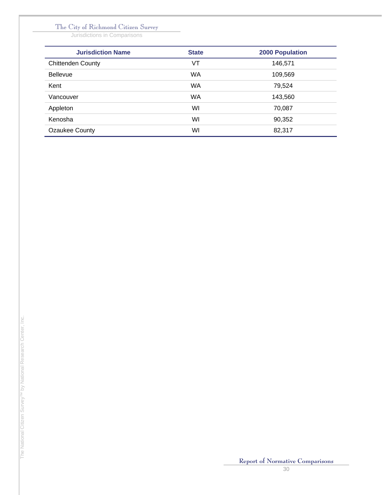Jurisdictions in Comparisons

| <b>Jurisdiction Name</b> | <b>State</b> | <b>2000 Population</b> |
|--------------------------|--------------|------------------------|
| <b>Chittenden County</b> | VT           | 146,571                |
| <b>Bellevue</b>          | <b>WA</b>    | 109,569                |
| Kent                     | WA           | 79,524                 |
| Vancouver                | <b>WA</b>    | 143,560                |
| Appleton                 | WI           | 70,087                 |
| Kenosha                  | WI           | 90,352                 |
| Ozaukee County           | WI           | 82,317                 |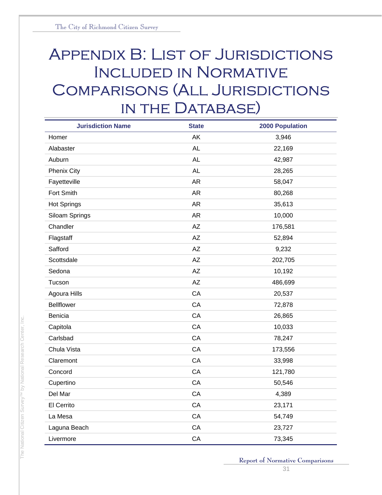# Appendix B: List of Jurisdictions Included in Normative Comparisons (All Jurisdictions IN THE DATABASE)

| <b>Jurisdiction Name</b> | <b>State</b> | <b>2000 Population</b> |
|--------------------------|--------------|------------------------|
| Homer                    | AK           | 3,946                  |
| Alabaster                | <b>AL</b>    | 22,169                 |
| Auburn                   | <b>AL</b>    | 42,987                 |
| <b>Phenix City</b>       | <b>AL</b>    | 28,265                 |
| Fayetteville             | <b>AR</b>    | 58,047                 |
| Fort Smith               | <b>AR</b>    | 80,268                 |
| <b>Hot Springs</b>       | AR           | 35,613                 |
| Siloam Springs           | <b>AR</b>    | 10,000                 |
| Chandler                 | <b>AZ</b>    | 176,581                |
| Flagstaff                | <b>AZ</b>    | 52,894                 |
| Safford                  | <b>AZ</b>    | 9,232                  |
| Scottsdale               | <b>AZ</b>    | 202,705                |
| Sedona                   | AZ           | 10,192                 |
| Tucson                   | AZ           | 486,699                |
| Agoura Hills             | CA           | 20,537                 |
| <b>Bellflower</b>        | CA           | 72,878                 |
| Benicia                  | CA           | 26,865                 |
| Capitola                 | CA           | 10,033                 |
| Carlsbad                 | CA           | 78,247                 |
| Chula Vista              | CA           | 173,556                |
| Claremont                | CA           | 33,998                 |
| Concord                  | CA           | 121,780                |
| Cupertino                | CA           | 50,546                 |
| Del Mar                  | CA           | 4,389                  |
| El Cerrito               | CA           | 23,171                 |
| La Mesa                  | CA           | 54,749                 |
| Laguna Beach             | CA           | 23,727                 |
| Livermore                | CA           | 73,345                 |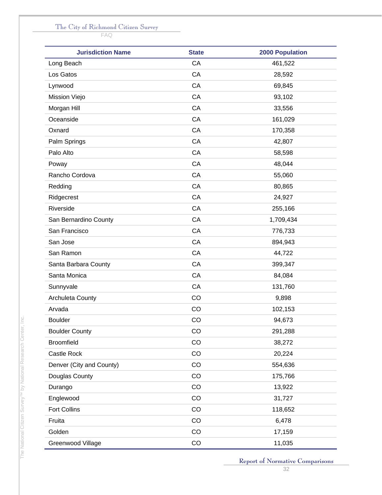FAQ

| <b>Jurisdiction Name</b> | <b>State</b> | <b>2000 Population</b> |
|--------------------------|--------------|------------------------|
| Long Beach               | CA           | 461,522                |
| Los Gatos                | CA           | 28,592                 |
| Lynwood                  | CA           | 69,845                 |
| Mission Viejo            | CA           | 93,102                 |
| Morgan Hill              | CA           | 33,556                 |
| Oceanside                | CA           | 161,029                |
| Oxnard                   | CA           | 170,358                |
| Palm Springs             | CA           | 42,807                 |
| Palo Alto                | CA           | 58,598                 |
| Poway                    | CA           | 48,044                 |
| Rancho Cordova           | CA           | 55,060                 |
| Redding                  | CA           | 80,865                 |
| Ridgecrest               | CA           | 24,927                 |
| Riverside                | CA           | 255,166                |
| San Bernardino County    | CA           | 1,709,434              |
| San Francisco            | CA           | 776,733                |
| San Jose                 | CA           | 894,943                |
| San Ramon                | CA           | 44,722                 |
| Santa Barbara County     | CA           | 399,347                |
| Santa Monica             | CA           | 84,084                 |
| Sunnyvale                | CA           | 131,760                |
| Archuleta County         | CO           | 9,898                  |
| Arvada                   | CO           | 102,153                |
| <b>Boulder</b>           | CO           | 94,673                 |
| <b>Boulder County</b>    | CO           | 291,288                |
| <b>Broomfield</b>        | CO           | 38,272                 |
| Castle Rock              | CO           | 20,224                 |
| Denver (City and County) | CO           | 554,636                |
| Douglas County           | CO           | 175,766                |
| Durango                  | CO           | 13,922                 |
| Englewood                | CO           | 31,727                 |
| <b>Fort Collins</b>      | CO           | 118,652                |
| Fruita                   | CO           | 6,478                  |
| Golden                   | CO           | 17,159                 |
| Greenwood Village        | CO           | 11,035                 |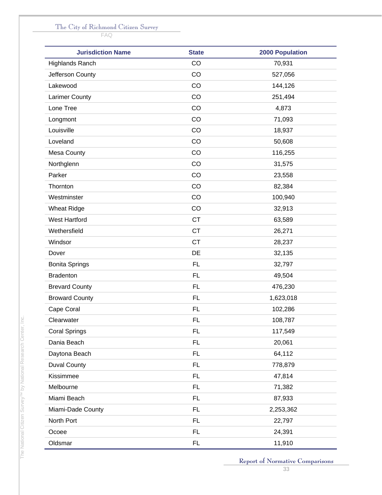FAQ

| <b>Jurisdiction Name</b> | <b>State</b> | <b>2000 Population</b> |
|--------------------------|--------------|------------------------|
| Highlands Ranch          | CO           | 70,931                 |
| Jefferson County         | CO           | 527,056                |
| Lakewood                 | CO           | 144,126                |
| Larimer County           | CO           | 251,494                |
| Lone Tree                | CO           | 4,873                  |
| Longmont                 | CO           | 71,093                 |
| Louisville               | CO           | 18,937                 |
| Loveland                 | CO           | 50,608                 |
| <b>Mesa County</b>       | CO           | 116,255                |
| Northglenn               | CO           | 31,575                 |
| Parker                   | CO           | 23,558                 |
| Thornton                 | CO           | 82,384                 |
| Westminster              | CO           | 100,940                |
| <b>Wheat Ridge</b>       | CO           | 32,913                 |
| <b>West Hartford</b>     | <b>CT</b>    | 63,589                 |
| Wethersfield             | <b>CT</b>    | 26,271                 |
| Windsor                  | <b>CT</b>    | 28,237                 |
| Dover                    | DE           | 32,135                 |
| <b>Bonita Springs</b>    | <b>FL</b>    | 32,797                 |
| <b>Bradenton</b>         | <b>FL</b>    | 49,504                 |
| <b>Brevard County</b>    | <b>FL</b>    | 476,230                |
| <b>Broward County</b>    | <b>FL</b>    | 1,623,018              |
| Cape Coral               | <b>FL</b>    | 102,286                |
| Clearwater               | <b>FL</b>    | 108,787                |
| <b>Coral Springs</b>     | FL           | 117,549                |
| Dania Beach              | <b>FL</b>    | 20,061                 |
| Daytona Beach            | FL           | 64,112                 |
| <b>Duval County</b>      | FL           | 778,879                |
| Kissimmee                | <b>FL</b>    | 47,814                 |
| Melbourne                | FL           | 71,382                 |
| Miami Beach              | FL           | 87,933                 |
| Miami-Dade County        | FL           | 2,253,362              |
| North Port               | <b>FL</b>    | 22,797                 |
| Ocoee                    | FL           | 24,391                 |
| Oldsmar                  | FL           | 11,910                 |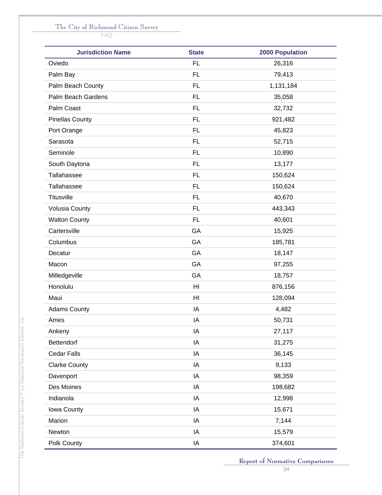FAQ

| <b>Jurisdiction Name</b> | <b>State</b> | <b>2000 Population</b> |
|--------------------------|--------------|------------------------|
| Oviedo                   | <b>FL</b>    | 26,316                 |
| Palm Bay                 | FL           | 79,413                 |
| Palm Beach County        | FL           | 1,131,184              |
| Palm Beach Gardens       | FL           | 35,058                 |
| Palm Coast               | FL           | 32,732                 |
| <b>Pinellas County</b>   | FL           | 921,482                |
| Port Orange              | FL           | 45,823                 |
| Sarasota                 | <b>FL</b>    | 52,715                 |
| Seminole                 | <b>FL</b>    | 10,890                 |
| South Daytona            | <b>FL</b>    | 13,177                 |
| Tallahassee              | <b>FL</b>    | 150,624                |
| Tallahassee              | <b>FL</b>    | 150,624                |
| Titusville               | <b>FL</b>    | 40,670                 |
| Volusia County           | <b>FL</b>    | 443,343                |
| <b>Walton County</b>     | <b>FL</b>    | 40,601                 |
| Cartersville             | GA           | 15,925                 |
| Columbus                 | GA           | 185,781                |
| Decatur                  | GA           | 18,147                 |
| Macon                    | GA           | 97,255                 |
| Milledgeville            | GA           | 18,757                 |
| Honolulu                 | HI           | 876,156                |
| Maui                     | HI           | 128,094                |
| <b>Adams County</b>      | IA           | 4,482                  |
| Ames                     | IA           | 50,731                 |
| Ankeny                   | IA           | 27,117                 |
| Bettendorf               | IA           | 31,275                 |
| <b>Cedar Falls</b>       | IA           | 36,145                 |
| <b>Clarke County</b>     | IA           | 9,133                  |
| Davenport                | IA           | 98,359                 |
| Des Moines               | IA           | 198,682                |
| Indianola                | IA           | 12,998                 |
| Iowa County              | IA           | 15,671                 |
| Marion                   | IA           | 7,144                  |
| Newton                   | IA           | 15,579                 |
| Polk County              | IA           | 374,601                |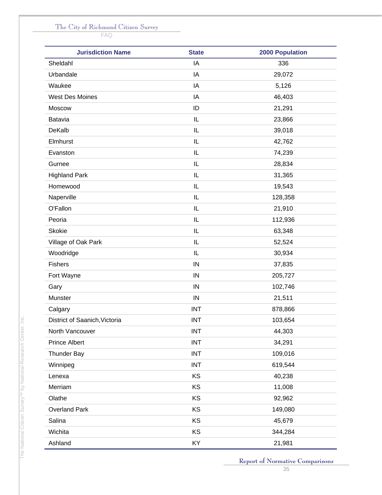FAQ

| <b>Jurisdiction Name</b>      | <b>State</b>  | <b>2000 Population</b> |
|-------------------------------|---------------|------------------------|
| Sheldahl                      | IA            | 336                    |
| Urbandale                     | IA            | 29,072                 |
| Waukee                        | IA            | 5,126                  |
| <b>West Des Moines</b>        | IA            | 46,403                 |
| Moscow                        | ID            | 21,291                 |
| Batavia                       | $\sf IL$      | 23,866                 |
| DeKalb                        | IL            | 39,018                 |
| Elmhurst                      | IL            | 42,762                 |
| Evanston                      | IL            | 74,239                 |
| Gurnee                        | IL            | 28,834                 |
| <b>Highland Park</b>          | IL            | 31,365                 |
| Homewood                      | IL            | 19,543                 |
| Naperville                    | IL            | 128,358                |
| O'Fallon                      | IL            | 21,910                 |
| Peoria                        | IL            | 112,936                |
| <b>Skokie</b>                 | $\mathsf{IL}$ | 63,348                 |
| Village of Oak Park           | IL            | 52,524                 |
| Woodridge                     | $\sf IL$      | 30,934                 |
| <b>Fishers</b>                | IN            | 37,835                 |
| Fort Wayne                    | IN            | 205,727                |
| Gary                          | IN            | 102,746                |
| Munster                       | IN            | 21,511                 |
| Calgary                       | <b>INT</b>    | 878,866                |
| District of Saanich, Victoria | <b>INT</b>    | 103,654                |
| North Vancouver               | <b>INT</b>    | 44,303                 |
| <b>Prince Albert</b>          | <b>INT</b>    | 34,291                 |
| <b>Thunder Bay</b>            | <b>INT</b>    | 109,016                |
| Winnipeg                      | <b>INT</b>    | 619,544                |
| Lenexa                        | KS            | 40,238                 |
| Merriam                       | KS            | 11,008                 |
| Olathe                        | KS            | 92,962                 |
| <b>Overland Park</b>          | KS            | 149,080                |
| Salina                        | KS            | 45,679                 |
| Wichita                       | KS            | 344,284                |
| Ashland                       | KY            | 21,981                 |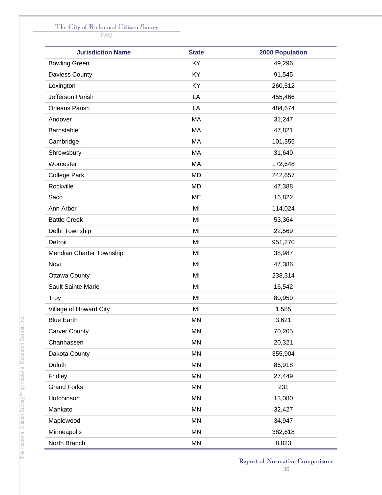FAQ

| <b>Jurisdiction Name</b>  | <b>State</b> | <b>2000 Population</b> |
|---------------------------|--------------|------------------------|
| <b>Bowling Green</b>      | KY           | 49,296                 |
| Daviess County            | KY           | 91,545                 |
| Lexington                 | KY           | 260,512                |
| Jefferson Parish          | LA           | 455,466                |
| <b>Orleans Parish</b>     | LA           | 484,674                |
| Andover                   | MA           | 31,247                 |
| Barnstable                | MA           | 47,821                 |
| Cambridge                 | MA           | 101,355                |
| Shrewsbury                | MA           | 31,640                 |
| Worcester                 | MA           | 172,648                |
| <b>College Park</b>       | MD           | 242,657                |
| Rockville                 | <b>MD</b>    | 47,388                 |
| Saco                      | ME           | 16,822                 |
| Ann Arbor                 | MI           | 114,024                |
| <b>Battle Creek</b>       | MI           | 53,364                 |
| Delhi Township            | MI           | 22,569                 |
| Detroit                   | MI           | 951,270                |
| Meridian Charter Township | MI           | 38,987                 |
| Novi                      | MI           | 47,386                 |
| <b>Ottawa County</b>      | MI           | 238,314                |
| Sault Sainte Marie        | MI           | 16,542                 |
| <b>Troy</b>               | MI           | 80,959                 |
| Village of Howard City    | MI           | 1,585                  |
| <b>Blue Earth</b>         | <b>MN</b>    | 3,621                  |
| <b>Carver County</b>      | <b>MN</b>    | 70,205                 |
| Chanhassen                | <b>MN</b>    | 20,321                 |
| Dakota County             | <b>MN</b>    | 355,904                |
| Duluth                    | <b>MN</b>    | 86,918                 |
| Fridley                   | <b>MN</b>    | 27,449                 |
| <b>Grand Forks</b>        | MN           | 231                    |
| Hutchinson                | MN           | 13,080                 |
| Mankato                   | MN           | 32,427                 |
| Maplewood                 | <b>MN</b>    | 34,947                 |
| Minneapolis               | <b>MN</b>    | 382,618                |
| North Branch              | MN           | 8,023                  |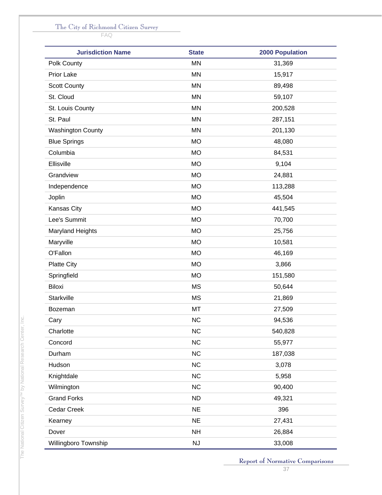FAQ

| <b>Jurisdiction Name</b> | <b>State</b> | <b>2000 Population</b> |
|--------------------------|--------------|------------------------|
| Polk County              | <b>MN</b>    | 31,369                 |
| Prior Lake               | <b>MN</b>    | 15,917                 |
| <b>Scott County</b>      | <b>MN</b>    | 89,498                 |
| St. Cloud                | <b>MN</b>    | 59,107                 |
| St. Louis County         | <b>MN</b>    | 200,528                |
| St. Paul                 | <b>MN</b>    | 287,151                |
| <b>Washington County</b> | <b>MN</b>    | 201,130                |
| <b>Blue Springs</b>      | <b>MO</b>    | 48,080                 |
| Columbia                 | <b>MO</b>    | 84,531                 |
| Ellisville               | <b>MO</b>    | 9,104                  |
| Grandview                | <b>MO</b>    | 24,881                 |
| Independence             | <b>MO</b>    | 113,288                |
| Joplin                   | <b>MO</b>    | 45,504                 |
| Kansas City              | <b>MO</b>    | 441,545                |
| Lee's Summit             | <b>MO</b>    | 70,700                 |
| <b>Maryland Heights</b>  | <b>MO</b>    | 25,756                 |
| Maryville                | <b>MO</b>    | 10,581                 |
| O'Fallon                 | <b>MO</b>    | 46,169                 |
| <b>Platte City</b>       | <b>MO</b>    | 3,866                  |
| Springfield              | <b>MO</b>    | 151,580                |
| Biloxi                   | <b>MS</b>    | 50,644                 |
| <b>Starkville</b>        | <b>MS</b>    | 21,869                 |
| Bozeman                  | MT           | 27,509                 |
| Cary                     | <b>NC</b>    | 94,536                 |
| Charlotte                | <b>NC</b>    | 540,828                |
| Concord                  | <b>NC</b>    | 55,977                 |
| Durham                   | <b>NC</b>    | 187,038                |
| Hudson                   | <b>NC</b>    | 3,078                  |
| Knightdale               | <b>NC</b>    | 5,958                  |
| Wilmington               | <b>NC</b>    | 90,400                 |
| <b>Grand Forks</b>       | <b>ND</b>    | 49,321                 |
| Cedar Creek              | <b>NE</b>    | 396                    |
| Kearney                  | <b>NE</b>    | 27,431                 |
| Dover                    | <b>NH</b>    | 26,884                 |
| Willingboro Township     | NJ           | 33,008                 |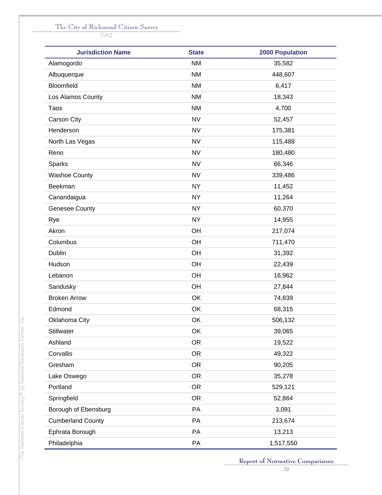FAQ

| <b>Jurisdiction Name</b> | <b>State</b> | <b>2000 Population</b> |
|--------------------------|--------------|------------------------|
| Alamogordo               | <b>NM</b>    | 35,582                 |
| Albuquerque              | <b>NM</b>    | 448,607                |
| Bloomfield               | <b>NM</b>    | 6,417                  |
| Los Alamos County        | <b>NM</b>    | 18,343                 |
| Taos                     | <b>NM</b>    | 4,700                  |
| Carson City              | <b>NV</b>    | 52,457                 |
| Henderson                | <b>NV</b>    | 175,381                |
| North Las Vegas          | <b>NV</b>    | 115,488                |
| Reno                     | <b>NV</b>    | 180,480                |
| Sparks                   | <b>NV</b>    | 66,346                 |
| <b>Washoe County</b>     | <b>NV</b>    | 339,486                |
| Beekman                  | <b>NY</b>    | 11,452                 |
| Canandaigua              | <b>NY</b>    | 11,264                 |
| Genesee County           | <b>NY</b>    | 60,370                 |
| Rye                      | <b>NY</b>    | 14,955                 |
| Akron                    | OH           | 217,074                |
| Columbus                 | OH           | 711,470                |
| Dublin                   | OH           | 31,392                 |
| Hudson                   | OH           | 22,439                 |
| Lebanon                  | OH           | 16,962                 |
| Sandusky                 | OH           | 27,844                 |
| <b>Broken Arrow</b>      | OK           | 74,839                 |
| Edmond                   | OK           | 68,315                 |
| Oklahoma City            | OK           | 506,132                |
| Stillwater               | OK           | 39,065                 |
| Ashland                  | <b>OR</b>    | 19,522                 |
| Corvallis                | <b>OR</b>    | 49,322                 |
| Gresham                  | <b>OR</b>    | 90,205                 |
| Lake Oswego              | <b>OR</b>    | 35,278                 |
| Portland                 | <b>OR</b>    | 529,121                |
| Springfield              | <b>OR</b>    | 52,864                 |
| Borough of Ebensburg     | PA           | 3,091                  |
| <b>Cumberland County</b> | PA           | 213,674                |
| Ephrata Borough          | PA           | 13,213                 |
| Philadelphia             | PA           | 1,517,550              |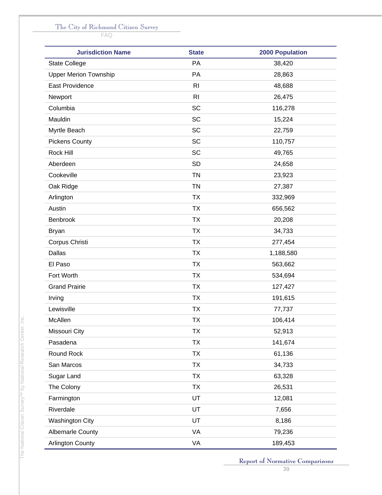FAQ

| <b>Jurisdiction Name</b>     | <b>State</b>   | <b>2000 Population</b> |
|------------------------------|----------------|------------------------|
| <b>State College</b>         | PA             | 38,420                 |
| <b>Upper Merion Township</b> | PA             | 28,863                 |
| <b>East Providence</b>       | R <sub>l</sub> | 48,688                 |
| Newport                      | R <sub>l</sub> | 26,475                 |
| Columbia                     | SC             | 116,278                |
| Mauldin                      | SC             | 15,224                 |
| Myrtle Beach                 | SC             | 22,759                 |
| Pickens County               | SC             | 110,757                |
| Rock Hill                    | SC             | 49,765                 |
| Aberdeen                     | <b>SD</b>      | 24,658                 |
| Cookeville                   | <b>TN</b>      | 23,923                 |
| Oak Ridge                    | <b>TN</b>      | 27,387                 |
| Arlington                    | <b>TX</b>      | 332,969                |
| Austin                       | <b>TX</b>      | 656,562                |
| Benbrook                     | <b>TX</b>      | 20,208                 |
| <b>Bryan</b>                 | <b>TX</b>      | 34,733                 |
| Corpus Christi               | <b>TX</b>      | 277,454                |
| Dallas                       | <b>TX</b>      | 1,188,580              |
| El Paso                      | <b>TX</b>      | 563,662                |
| Fort Worth                   | <b>TX</b>      | 534,694                |
| <b>Grand Prairie</b>         | <b>TX</b>      | 127,427                |
| Irving                       | <b>TX</b>      | 191,615                |
| Lewisville                   | <b>TX</b>      | 77,737                 |
| McAllen                      | <b>TX</b>      | 106,414                |
| Missouri City                | <b>TX</b>      | 52,913                 |
| Pasadena                     | <b>TX</b>      | 141,674                |
| Round Rock                   | <b>TX</b>      | 61,136                 |
| San Marcos                   | <b>TX</b>      | 34,733                 |
| Sugar Land                   | <b>TX</b>      | 63,328                 |
| The Colony                   | <b>TX</b>      | 26,531                 |
| Farmington                   | UT             | 12,081                 |
| Riverdale                    | UT             | 7,656                  |
| <b>Washington City</b>       | UT             | 8,186                  |
| <b>Albemarle County</b>      | VA             | 79,236                 |
| <b>Arlington County</b>      | VA             | 189,453                |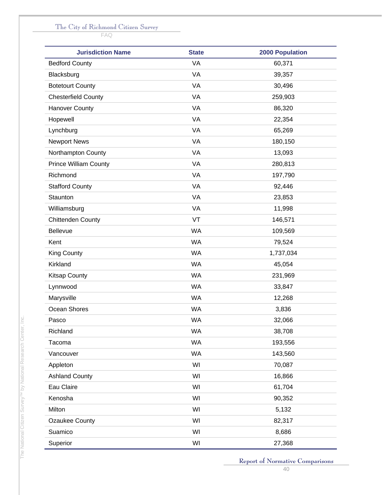FAQ

| <b>Jurisdiction Name</b>     | <b>State</b> | <b>2000 Population</b> |
|------------------------------|--------------|------------------------|
| <b>Bedford County</b>        | VA           | 60,371                 |
| Blacksburg                   | VA           | 39,357                 |
| <b>Botetourt County</b>      | VA           | 30,496                 |
| <b>Chesterfield County</b>   | VA           | 259,903                |
| <b>Hanover County</b>        | VA           | 86,320                 |
| Hopewell                     | VA           | 22,354                 |
| Lynchburg                    | VA           | 65,269                 |
| <b>Newport News</b>          | VA           | 180,150                |
| Northampton County           | VA           | 13,093                 |
| <b>Prince William County</b> | VA           | 280,813                |
| Richmond                     | VA           | 197,790                |
| <b>Stafford County</b>       | VA           | 92,446                 |
| Staunton                     | VA           | 23,853                 |
| Williamsburg                 | VA           | 11,998                 |
| <b>Chittenden County</b>     | VT           | 146,571                |
| <b>Bellevue</b>              | <b>WA</b>    | 109,569                |
| Kent                         | <b>WA</b>    | 79,524                 |
| <b>King County</b>           | <b>WA</b>    | 1,737,034              |
| Kirkland                     | <b>WA</b>    | 45,054                 |
| <b>Kitsap County</b>         | <b>WA</b>    | 231,969                |
| Lynnwood                     | <b>WA</b>    | 33,847                 |
| Marysville                   | <b>WA</b>    | 12,268                 |
| Ocean Shores                 | <b>WA</b>    | 3,836                  |
| Pasco                        | WA           | 32,066                 |
| Richland                     | <b>WA</b>    | 38,708                 |
| Tacoma                       | <b>WA</b>    | 193,556                |
| Vancouver                    | <b>WA</b>    | 143,560                |
| Appleton                     | WI           | 70,087                 |
| <b>Ashland County</b>        | WI           | 16,866                 |
| Eau Claire                   | WI           | 61,704                 |
| Kenosha                      | WI           | 90,352                 |
| Milton                       | WI           | 5,132                  |
| Ozaukee County               | WI           | 82,317                 |
| Suamico                      | WI           | 8,686                  |
| Superior                     | WI           | 27,368                 |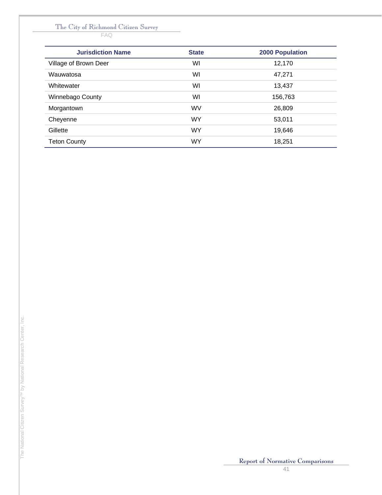FAQ

| <b>Jurisdiction Name</b> | <b>State</b> | <b>2000 Population</b> |
|--------------------------|--------------|------------------------|
| Village of Brown Deer    | WI           | 12,170                 |
| Wauwatosa                | WI           | 47,271                 |
| Whitewater               | WI           | 13,437                 |
| <b>Winnebago County</b>  | WI           | 156,763                |
| Morgantown               | <b>WV</b>    | 26,809                 |
| Cheyenne                 | <b>WY</b>    | 53,011                 |
| Gillette                 | <b>WY</b>    | 19,646                 |
| <b>Teton County</b>      | <b>WY</b>    | 18,251                 |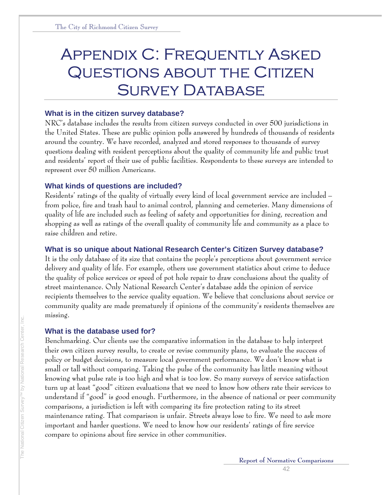# Appendix C: Frequently Asked QUESTIONS ABOUT THE CITIZEN **SURVEY DATABASE**

# **What is in the citizen survey database?**

NRC's database includes the results from citizen surveys conducted in over 500 jurisdictions in the United States. These are public opinion polls answered by hundreds of thousands of residents around the country. We have recorded, analyzed and stored responses to thousands of survey questions dealing with resident perceptions about the quality of community life and public trust and residents' report of their use of public facilities. Respondents to these surveys are intended to represent over 50 million Americans.

# **What kinds of questions are included?**

Residents' ratings of the quality of virtually every kind of local government service are included – from police, fire and trash haul to animal control, planning and cemeteries. Many dimensions of quality of life are included such as feeling of safety and opportunities for dining, recreation and shopping as well as ratings of the overall quality of community life and community as a place to raise children and retire.

# **What is so unique about National Research Center's Citizen Survey database?**

It is the only database of its size that contains the people's perceptions about government service delivery and quality of life. For example, others use government statistics about crime to deduce the quality of police services or speed of pot hole repair to draw conclusions about the quality of street maintenance. Only National Research Center's database adds the opinion of service recipients themselves to the service quality equation. We believe that conclusions about service or community quality are made prematurely if opinions of the community's residents themselves are missing.

# **What is the database used for?**

Benchmarking. Our clients use the comparative information in the database to help interpret their own citizen survey results, to create or revise community plans, to evaluate the success of policy or budget decisions, to measure local government performance. We don't know what is small or tall without comparing. Taking the pulse of the community has little meaning without knowing what pulse rate is too high and what is too low. So many surveys of service satisfaction turn up at least "good" citizen evaluations that we need to know how others rate their services to understand if "good" is good enough. Furthermore, in the absence of national or peer community comparisons, a jurisdiction is left with comparing its fire protection rating to its street maintenance rating. That comparison is unfair. Streets always lose to fire. We need to ask more important and harder questions. We need to know how our residents' ratings of fire service compare to opinions about fire service in other communities.